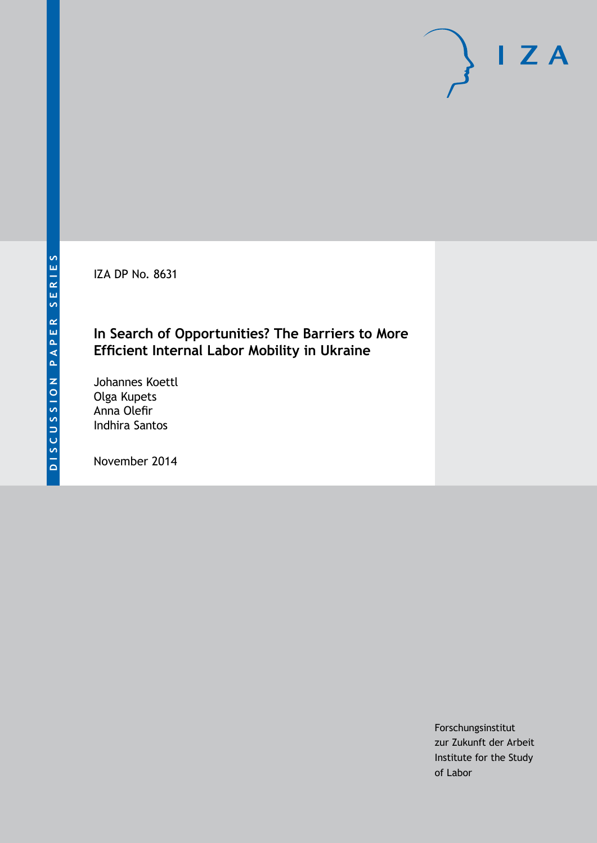IZA DP No. 8631

### **In Search of Opportunities? The Barriers to More Efficient Internal Labor Mobility in Ukraine**

Johannes Koettl Olga Kupets Anna Olefir Indhira Santos

November 2014

Forschungsinstitut zur Zukunft der Arbeit Institute for the Study of Labor

 $I Z A$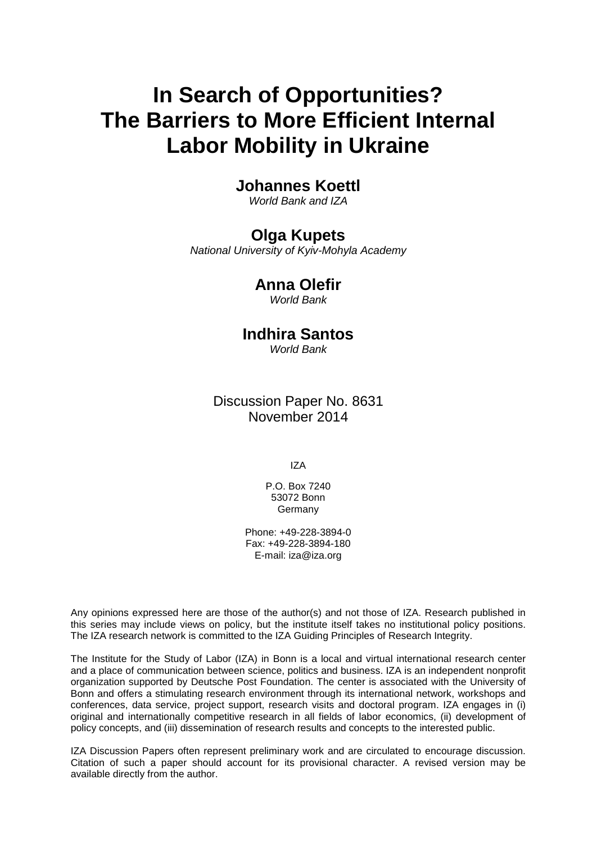# **In Search of Opportunities? The Barriers to More Efficient Internal Labor Mobility in Ukraine**

### **Johannes Koettl**

*World Bank and IZA*

### **Olga Kupets**

*National University of Kyiv-Mohyla Academy*

### **Anna Olefir**

*World Bank*

### **Indhira Santos**

*World Bank*

Discussion Paper No. 8631 November 2014

IZA

P.O. Box 7240 53072 Bonn **Germany** 

Phone: +49-228-3894-0 Fax: +49-228-3894-180 E-mail: [iza@iza.org](mailto:iza@iza.org)

Any opinions expressed here are those of the author(s) and not those of IZA. Research published in this series may include views on policy, but the institute itself takes no institutional policy positions. The IZA research network is committed to the IZA Guiding Principles of Research Integrity.

The Institute for the Study of Labor (IZA) in Bonn is a local and virtual international research center and a place of communication between science, politics and business. IZA is an independent nonprofit organization supported by Deutsche Post Foundation. The center is associated with the University of Bonn and offers a stimulating research environment through its international network, workshops and conferences, data service, project support, research visits and doctoral program. IZA engages in (i) original and internationally competitive research in all fields of labor economics, (ii) development of policy concepts, and (iii) dissemination of research results and concepts to the interested public.

<span id="page-1-0"></span>IZA Discussion Papers often represent preliminary work and are circulated to encourage discussion. Citation of such a paper should account for its provisional character. A revised version may be available directly from the author.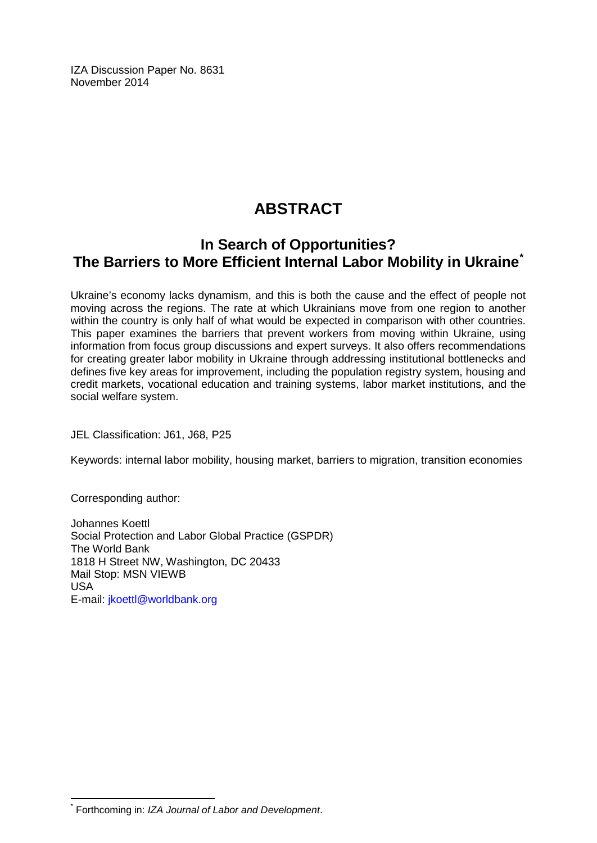IZA Discussion Paper No. 8631 November 2014

## **ABSTRACT**

### **In Search of Opportunities? The Barriers to More Efficient Internal Labor Mobility in Ukraine[\\*](#page-1-0)**

Ukraine's economy lacks dynamism, and this is both the cause and the effect of people not moving across the regions. The rate at which Ukrainians move from one region to another within the country is only half of what would be expected in comparison with other countries. This paper examines the barriers that prevent workers from moving within Ukraine, using information from focus group discussions and expert surveys. It also offers recommendations for creating greater labor mobility in Ukraine through addressing institutional bottlenecks and defines five key areas for improvement, including the population registry system, housing and credit markets, vocational education and training systems, labor market institutions, and the social welfare system.

JEL Classification: J61, J68, P25

Keywords: internal labor mobility, housing market, barriers to migration, transition economies

Corresponding author:

Johannes Koettl Social Protection and Labor Global Practice (GSPDR) The World Bank 1818 H Street NW, Washington, DC 20433 Mail Stop: MSN VIEWB USA E-mail: [jkoettl@worldbank.org](mailto:jkoettl@worldbank.org)

\* Forthcoming in: *IZA Journal of Labor and Development*.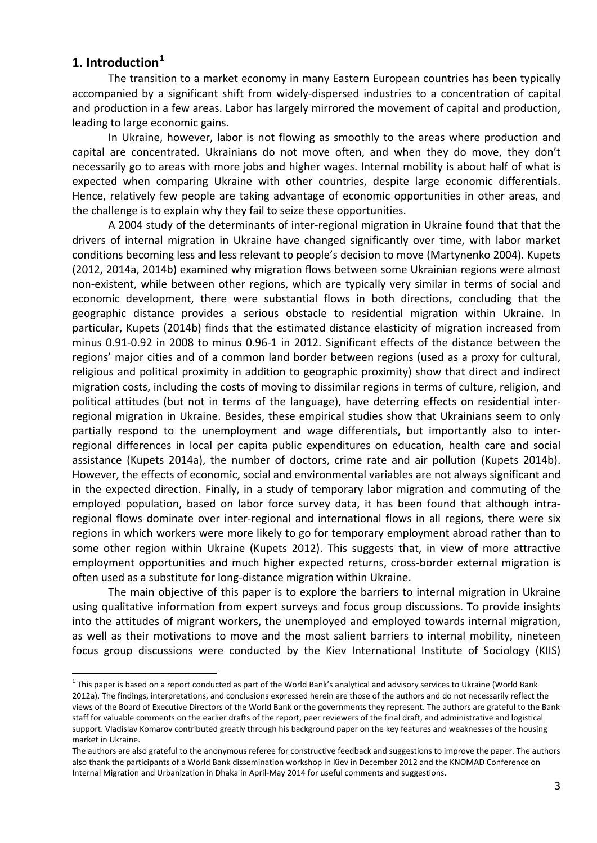### **1. Introduction<sup>1</sup>**

The transition to a market economy in many Eastern European countries has been typically accompanied by a significant shift from widely-dispersed industries to a concentration of capital and production in a few areas. Labor has largely mirrored the movement of capital and production, leading to large economic gains.

In Ukraine, however, labor is not flowing as smoothly to the areas where production and capital are concentrated. Ukrainians do not move often, and when they do move, they don't necessarily go to areas with more jobs and higher wages. Internal mobility is about half of what is expected when comparing Ukraine with other countries, despite large economic differentials. Hence, relatively few people are taking advantage of economic opportunities in other areas, and the challenge is to explain why they fail to seize these opportunities.

A 2004 study of the determinants of inter-regional migration in Ukraine found that that the drivers of internal migration in Ukraine have changed significantly over time, with labor market conditions becoming less and less relevant to people's decision to move (Martynenko 2004). Kupets (2012, 2014a, 2014b) examined why migration flows between some Ukrainian regions were almost non-existent, while between other regions, which are typically very similar in terms of social and economic development, there were substantial flows in both directions, concluding that the geographic distance provides a serious obstacle to residential migration within Ukraine. In particular, Kupets (2014b) finds that the estimated distance elasticity of migration increased from minus 0.91-0.92 in 2008 to minus 0.96-1 in 2012. Significant effects of the distance between the regions' major cities and of a common land border between regions (used as a proxy for cultural, religious and political proximity in addition to geographic proximity) show that direct and indirect migration costs, including the costs of moving to dissimilar regions in terms of culture, religion, and political attitudes (but not in terms of the language), have deterring effects on residential interregional migration in Ukraine. Besides, these empirical studies show that Ukrainians seem to only partially respond to the unemployment and wage differentials, but importantly also to interregional differences in local per capita public expenditures on education, health care and social assistance (Kupets 2014a), the number of doctors, crime rate and air pollution (Kupets 2014b). However, the effects of economic, social and environmental variables are not always significant and in the expected direction. Finally, in a study of temporary labor migration and commuting of the employed population, based on labor force survey data, it has been found that although intraregional flows dominate over inter-regional and international flows in all regions, there were six regions in which workers were more likely to go for temporary employment abroad rather than to some other region within Ukraine (Kupets 2012). This suggests that, in view of more attractive employment opportunities and much higher expected returns, cross-border external migration is often used as a substitute for long-distance migration within Ukraine.

The main objective of this paper is to explore the barriers to internal migration in Ukraine using qualitative information from expert surveys and focus group discussions. To provide insights into the attitudes of migrant workers, the unemployed and employed towards internal migration, as well as their motivations to move and the most salient barriers to internal mobility, nineteen focus group discussions were conducted by the Kiev International Institute of Sociology (KIIS)

<span id="page-3-0"></span> $1$ This paper is based on a report conducted as part of the World Bank's analytical and advisory services to Ukraine (World Bank 2012a). The findings, interpretations, and conclusions expressed herein are those of the authors and do not necessarily reflect the views of the Board of Executive Directors of the World Bank or the governments they represent. The authors are grateful to the Bank staff for valuable comments on the earlier drafts of the report, peer reviewers of the final draft, and administrative and logistical support. Vladislav Komarov contributed greatly through his background paper on the key features and weaknesses of the housing market in Ukraine.

The authors are also grateful to the anonymous referee for constructive feedback and suggestions to improve the paper. The authors also thank the participants of a World Bank dissemination workshop in Kiev in December 2012 and the KNOMAD Conference on Internal Migration and Urbanization in Dhaka in April-May 2014 for useful comments and suggestions.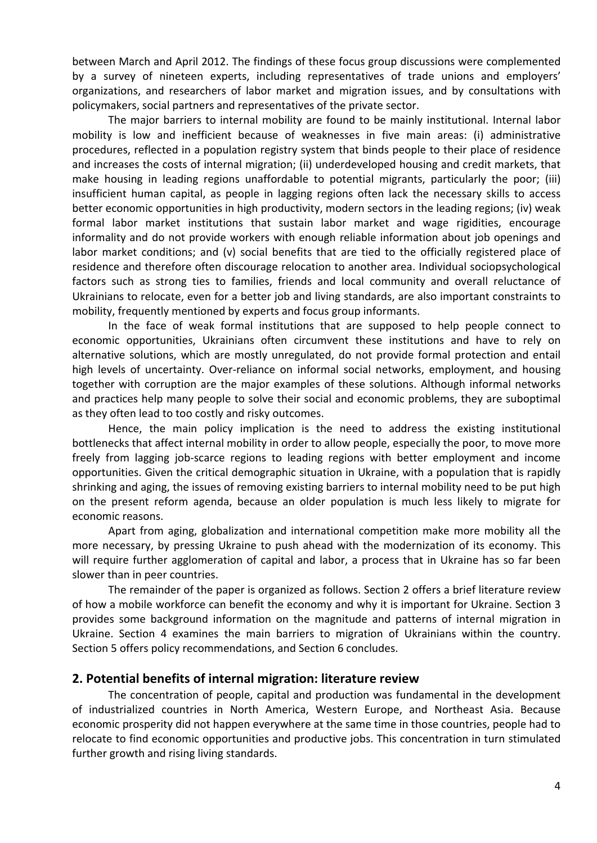between March and April 2012. The findings of these focus group discussions were complemented by a survey of nineteen experts, including representatives of trade unions and employers' organizations, and researchers of labor market and migration issues, and by consultations with policymakers, social partners and representatives of the private sector.

The major barriers to internal mobility are found to be mainly institutional. Internal labor mobility is low and inefficient because of weaknesses in five main areas: (i) administrative procedures, reflected in a population registry system that binds people to their place of residence and increases the costs of internal migration; (ii) underdeveloped housing and credit markets, that make housing in leading regions unaffordable to potential migrants, particularly the poor; (iii) insufficient human capital, as people in lagging regions often lack the necessary skills to access better economic opportunities in high productivity, modern sectors in the leading regions; (iv) weak formal labor market institutions that sustain labor market and wage rigidities, encourage informality and do not provide workers with enough reliable information about job openings and labor market conditions; and (v) social benefits that are tied to the officially registered place of residence and therefore often discourage relocation to another area. Individual sociopsychological factors such as strong ties to families, friends and local community and overall reluctance of Ukrainians to relocate, even for a better job and living standards, are also important constraints to mobility, frequently mentioned by experts and focus group informants.

In the face of weak formal institutions that are supposed to help people connect to economic opportunities, Ukrainians often circumvent these institutions and have to rely on alternative solutions, which are mostly unregulated, do not provide formal protection and entail high levels of uncertainty. Over-reliance on informal social networks, employment, and housing together with corruption are the major examples of these solutions. Although informal networks and practices help many people to solve their social and economic problems, they are suboptimal as they often lead to too costly and risky outcomes.

Hence, the main policy implication is the need to address the existing institutional bottlenecks that affect internal mobility in order to allow people, especially the poor, to move more freely from lagging job-scarce regions to leading regions with better employment and income opportunities. Given the critical demographic situation in Ukraine, with a population that is rapidly shrinking and aging, the issues of removing existing barriers to internal mobility need to be put high on the present reform agenda, because an older population is much less likely to migrate for economic reasons.

Apart from aging, globalization and international competition make more mobility all the more necessary, by pressing Ukraine to push ahead with the modernization of its economy. This will require further agglomeration of capital and labor, a process that in Ukraine has so far been slower than in peer countries.

The remainder of the paper is organized as follows. Section 2 offers a brief literature review of how a mobile workforce can benefit the economy and why it is important for Ukraine. Section 3 provides some background information on the magnitude and patterns of internal migration in Ukraine. Section 4 examines the main barriers to migration of Ukrainians within the country. Section 5 offers policy recommendations, and Section 6 concludes.

#### **2. Potential benefits of internal migration: literature review**

The concentration of people, capital and production was fundamental in the development of industrialized countries in North America, Western Europe, and Northeast Asia. Because economic prosperity did not happen everywhere at the same time in those countries, people had to relocate to find economic opportunities and productive jobs. This concentration in turn stimulated further growth and rising living standards.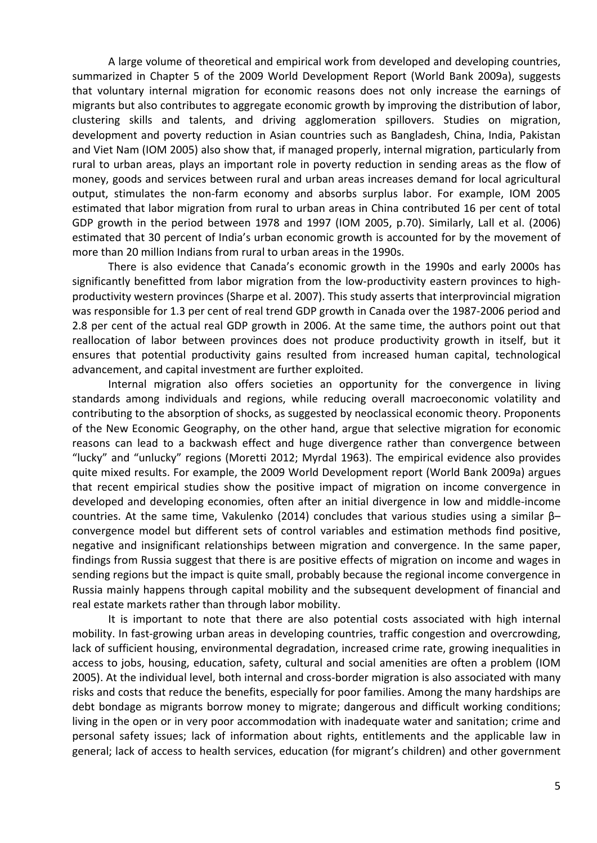A large volume of theoretical and empirical work from developed and developing countries, summarized in Chapter 5 of the 2009 World Development Report (World Bank 2009a), suggests that voluntary internal migration for economic reasons does not only increase the earnings of migrants but also contributes to aggregate economic growth by improving the distribution of labor, clustering skills and talents, and driving agglomeration spillovers. Studies on migration, development and poverty reduction in Asian countries such as Bangladesh, China, India, Pakistan and Viet Nam (IOM 2005) also show that, if managed properly, internal migration, particularly from rural to urban areas, plays an important role in poverty reduction in sending areas as the flow of money, goods and services between rural and urban areas increases demand for local agricultural output, stimulates the non-farm economy and absorbs surplus labor. For example, IOM 2005 estimated that labor migration from rural to urban areas in China contributed 16 per cent of total GDP growth in the period between 1978 and 1997 (IOM 2005, p.70). Similarly, Lall et al. (2006) estimated that 30 percent of India's urban economic growth is accounted for by the movement of more than 20 million Indians from rural to urban areas in the 1990s.

There is also evidence that Canada's economic growth in the 1990s and early 2000s has significantly benefitted from labor migration from the low-productivity eastern provinces to highproductivity western provinces (Sharpe et al. 2007). This study asserts that interprovincial migration was responsible for 1.3 per cent of real trend GDP growth in Canada over the 1987-2006 period and 2.8 per cent of the actual real GDP growth in 2006. At the same time, the authors point out that reallocation of labor between provinces does not produce productivity growth in itself, but it ensures that potential productivity gains resulted from increased human capital, technological advancement, and capital investment are further exploited.

Internal migration also offers societies an opportunity for the convergence in living standards among individuals and regions, while reducing overall macroeconomic volatility and contributing to the absorption of shocks, as suggested by neoclassical economic theory. Proponents of the New Economic Geography, on the other hand, argue that selective migration for economic reasons can lead to a backwash effect and huge divergence rather than convergence between "lucky" and "unlucky" regions (Moretti 2012; Myrdal 1963). The empirical evidence also provides quite mixed results. For example, the 2009 World Development report (World Bank 2009a) argues that recent empirical studies show the positive impact of migration on income convergence in developed and developing economies, often after an initial divergence in low and middle-income countries. At the same time, Vakulenko (2014) concludes that various studies using a similar β– convergence model but different sets of control variables and estimation methods find positive, negative and insignificant relationships between migration and convergence. In the same paper, findings from Russia suggest that there is are positive effects of migration on income and wages in sending regions but the impact is quite small, probably because the regional income convergence in Russia mainly happens through capital mobility and the subsequent development of financial and real estate markets rather than through labor mobility.

It is important to note that there are also potential costs associated with high internal mobility. In fast-growing urban areas in developing countries, traffic congestion and overcrowding, lack of sufficient housing, environmental degradation, increased crime rate, growing inequalities in access to jobs, housing, education, safety, cultural and social amenities are often a problem (IOM 2005). At the individual level, both internal and cross-border migration is also associated with many risks and costs that reduce the benefits, especially for poor families. Among the many hardships are debt bondage as migrants borrow money to migrate; dangerous and difficult working conditions; living in the open or in very poor accommodation with inadequate water and sanitation; crime and personal safety issues; lack of information about rights, entitlements and the applicable law in general; lack of access to health services, education (for migrant's children) and other government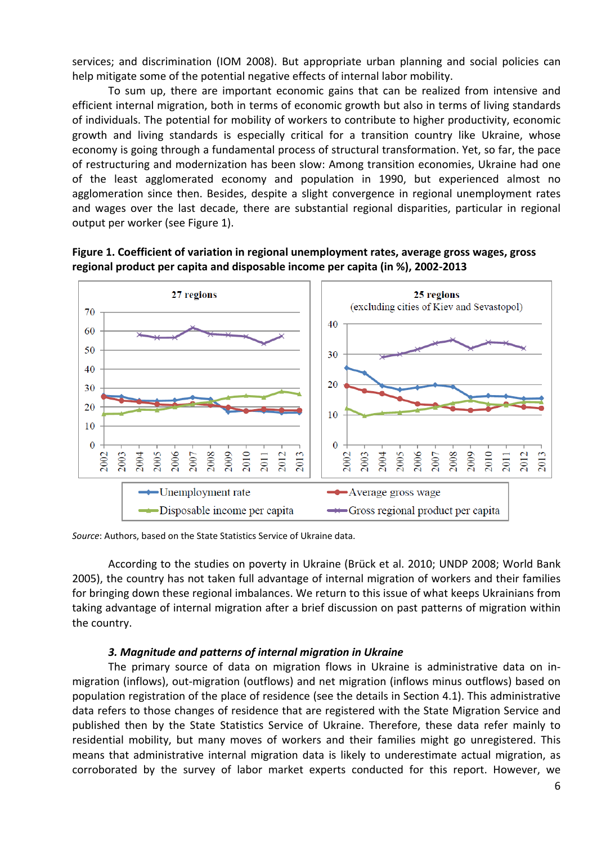services; and discrimination (IOM 2008). But appropriate urban planning and social policies can help mitigate some of the potential negative effects of internal labor mobility.

To sum up, there are important economic gains that can be realized from intensive and efficient internal migration, both in terms of economic growth but also in terms of living standards of individuals. The potential for mobility of workers to contribute to higher productivity, economic growth and living standards is especially critical for a transition country like Ukraine, whose economy is going through a fundamental process of structural transformation. Yet, so far, the pace of restructuring and modernization has been slow: Among transition economies, Ukraine had one of the least agglomerated economy and population in 1990, but experienced almost no agglomeration since then. Besides, despite a slight convergence in regional unemployment rates and wages over the last decade, there are substantial regional disparities, particular in regional output per worker (see Figure 1).



**Figure 1. Coefficient of variation in regional unemployment rates, average gross wages, gross regional product per capita and disposable income per capita (in %), 2002-2013**

*Source*: Authors, based on the State Statistics Service of Ukraine data.

According to the studies on poverty in Ukraine (Brück et al. 2010; UNDP 2008; World Bank 2005), the country has not taken full advantage of internal migration of workers and their families for bringing down these regional imbalances. We return to this issue of what keeps Ukrainians from taking advantage of internal migration after a brief discussion on past patterns of migration within the country.

#### *3. Magnitude and patterns of internal migration in Ukraine*

The primary source of data on migration flows in Ukraine is administrative data on inmigration (inflows), out-migration (outflows) and net migration (inflows minus outflows) based on population registration of the place of residence (see the details in Section 4.1). This administrative data refers to those changes of residence that are registered with the State Migration Service and published then by the State Statistics Service of Ukraine. Therefore, these data refer mainly to residential mobility, but many moves of workers and their families might go unregistered. This means that administrative internal migration data is likely to underestimate actual migration, as corroborated by the survey of labor market experts conducted for this report. However, we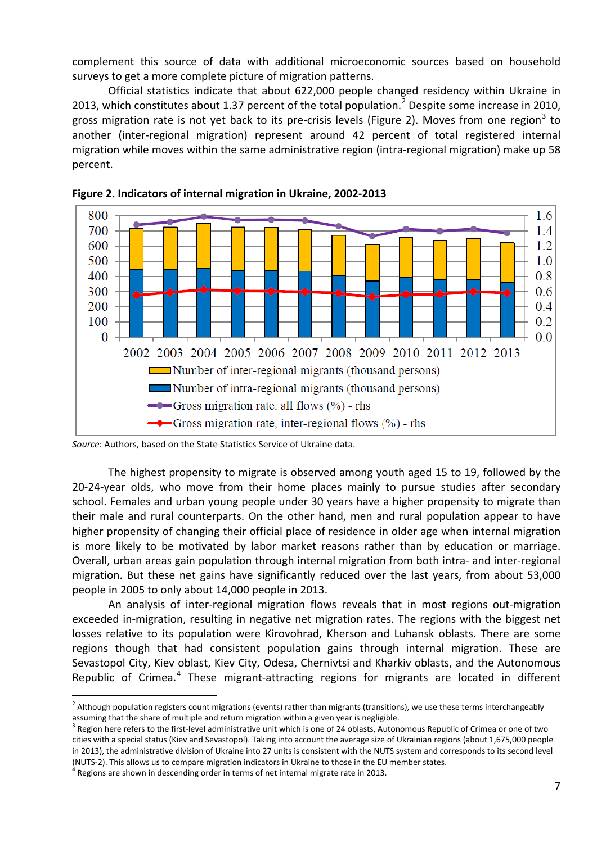complement this source of data with additional microeconomic sources based on household surveys to get a more complete picture of migration patterns.

Official statistics indicate that about 622,000 people changed residency within Ukraine in [2](#page-3-0)013, which constitutes about 1.37 percent of the total population.<sup>2</sup> Despite some increase in 2010, gross migration rate is not yet back to its pre-crisis levels (Figure 2). Moves from one region<sup>[3](#page-7-0)</sup> to another (inter-regional migration) represent around 42 percent of total registered internal migration while moves within the same administrative region (intra-regional migration) make up 58 percent.





The highest propensity to migrate is observed among youth aged 15 to 19, followed by the 20-24-year olds, who move from their home places mainly to pursue studies after secondary school. Females and urban young people under 30 years have a higher propensity to migrate than their male and rural counterparts. On the other hand, men and rural population appear to have higher propensity of changing their official place of residence in older age when internal migration is more likely to be motivated by labor market reasons rather than by education or marriage. Overall, urban areas gain population through internal migration from both intra- and inter-regional migration. But these net gains have significantly reduced over the last years, from about 53,000 people in 2005 to only about 14,000 people in 2013.

An analysis of inter-regional migration flows reveals that in most regions out-migration exceeded in-migration, resulting in negative net migration rates. The regions with the biggest net losses relative to its population were Kirovohrad, Kherson and Luhansk oblasts. There are some regions though that had consistent population gains through internal migration. These are Sevastopol City, Kiev oblast, Kiev City, Odesa, Chernivtsi and Kharkiv oblasts, and the Autonomous Republic of Crimea.<sup>[4](#page-7-1)</sup> These migrant-attracting regions for migrants are located in different

*Source*: Authors, based on the State Statistics Service of Ukraine data.

<span id="page-7-2"></span> $2$  Although population registers count migrations (events) rather than migrants (transitions), we use these terms interchangeably assuming that the share of multiple and return migration within a given year is negligible.<br><sup>3</sup> Region here refers to the first-level administrative unit which is one of 24 oblasts, Autonomous Republic of Crimea or one of

<span id="page-7-0"></span>cities with a special status (Kiev and Sevastopol). Taking into account the average size of Ukrainian regions (about 1,675,000 people in 2013), the administrative division of Ukraine into 27 units is consistent with the NUTS system and corresponds to its second level (NUTS-2). This allows us to compare migration indicators in Ukraine to those in the EU member states.  $4$  Regions are shown in descending order in terms of net internal migrate rate in 2013.

<span id="page-7-1"></span>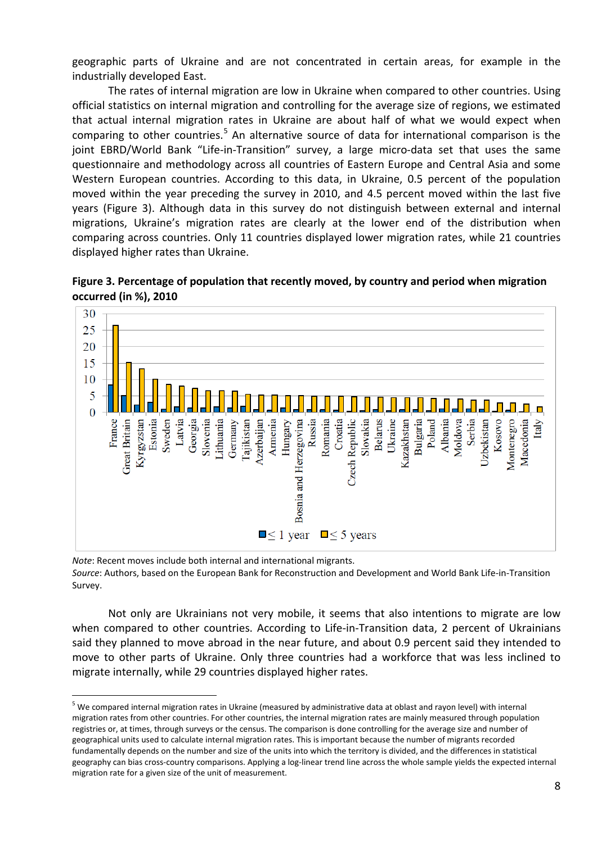geographic parts of Ukraine and are not concentrated in certain areas, for example in the industrially developed East.

The rates of internal migration are low in Ukraine when compared to other countries. Using official statistics on internal migration and controlling for the average size of regions, we estimated that actual internal migration rates in Ukraine are about half of what we would expect when comparing to other countries.<sup>[5](#page-7-2)</sup> An alternative source of data for international comparison is the joint EBRD/World Bank "Life-in-Transition" survey, a large micro-data set that uses the same questionnaire and methodology across all countries of Eastern Europe and Central Asia and some Western European countries. According to this data, in Ukraine, 0.5 percent of the population moved within the year preceding the survey in 2010, and 4.5 percent moved within the last five years (Figure 3). Although data in this survey do not distinguish between external and internal migrations, Ukraine's migration rates are clearly at the lower end of the distribution when comparing across countries. Only 11 countries displayed lower migration rates, while 21 countries displayed higher rates than Ukraine.





*Note*: Recent moves include both internal and international migrants. *Source*: Authors, based on the European Bank for Reconstruction and Development and World Bank Life-in-Transition Survey.

Not only are Ukrainians not very mobile, it seems that also intentions to migrate are low when compared to other countries. According to Life-in-Transition data, 2 percent of Ukrainians said they planned to move abroad in the near future, and about 0.9 percent said they intended to move to other parts of Ukraine. Only three countries had a workforce that was less inclined to migrate internally, while 29 countries displayed higher rates.

<span id="page-8-0"></span><sup>5</sup> We compared internal migration rates in Ukraine (measured by administrative data at oblast and rayon level) with internal migration rates from other countries. For other countries, the internal migration rates are mainly measured through population registries or, at times, through surveys or the census. The comparison is done controlling for the average size and number of geographical units used to calculate internal migration rates. This is important because the number of migrants recorded fundamentally depends on the number and size of the units into which the territory is divided, and the differences in statistical geography can bias cross-country comparisons. Applying a log-linear trend line across the whole sample yields the expected internal migration rate for a given size of the unit of measurement.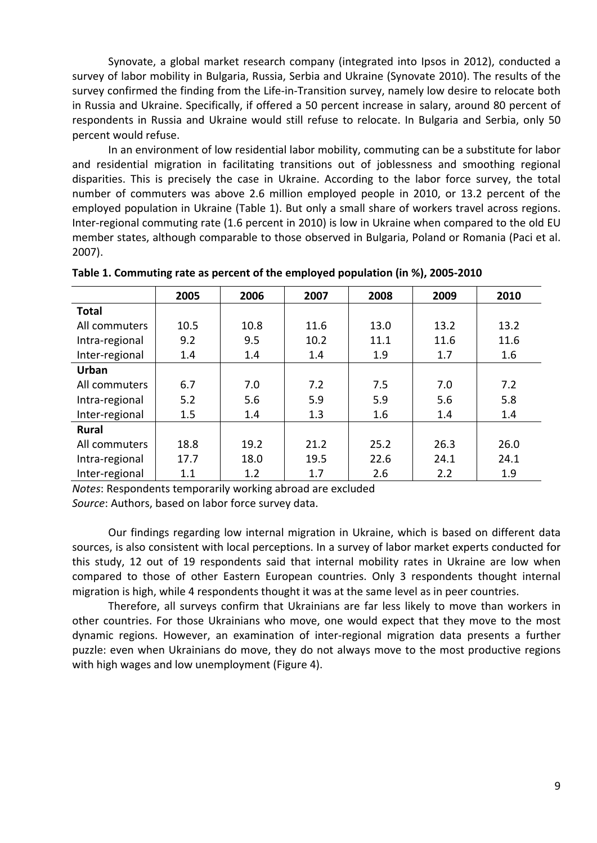Synovate, a global market research company (integrated into Ipsos in 2012), conducted a survey of labor mobility in Bulgaria, Russia, Serbia and Ukraine (Synovate 2010). The results of the survey confirmed the finding from the Life-in-Transition survey, namely low desire to relocate both in Russia and Ukraine. Specifically, if offered a 50 percent increase in salary, around 80 percent of respondents in Russia and Ukraine would still refuse to relocate. In Bulgaria and Serbia, only 50 percent would refuse.

In an environment of low residential labor mobility, commuting can be a substitute for labor and residential migration in facilitating transitions out of joblessness and smoothing regional disparities. This is precisely the case in Ukraine. According to the labor force survey, the total number of commuters was above 2.6 million employed people in 2010, or 13.2 percent of the employed population in Ukraine (Table 1). But only a small share of workers travel across regions. Inter-regional commuting rate (1.6 percent in 2010) is low in Ukraine when compared to the old EU member states, although comparable to those observed in Bulgaria, Poland or Romania (Paci et al. 2007).

|                | 2005 | 2006 | 2007 | 2008 | 2009 | 2010 |
|----------------|------|------|------|------|------|------|
| <b>Total</b>   |      |      |      |      |      |      |
| All commuters  | 10.5 | 10.8 | 11.6 | 13.0 | 13.2 | 13.2 |
| Intra-regional | 9.2  | 9.5  | 10.2 | 11.1 | 11.6 | 11.6 |
| Inter-regional | 1.4  | 1.4  | 1.4  | 1.9  | 1.7  | 1.6  |
| <b>Urban</b>   |      |      |      |      |      |      |
| All commuters  | 6.7  | 7.0  | 7.2  | 7.5  | 7.0  | 7.2  |
| Intra-regional | 5.2  | 5.6  | 5.9  | 5.9  | 5.6  | 5.8  |
| Inter-regional | 1.5  | 1.4  | 1.3  | 1.6  | 1.4  | 1.4  |
| <b>Rural</b>   |      |      |      |      |      |      |
| All commuters  | 18.8 | 19.2 | 21.2 | 25.2 | 26.3 | 26.0 |
| Intra-regional | 17.7 | 18.0 | 19.5 | 22.6 | 24.1 | 24.1 |
| Inter-regional | 1.1  | 1.2  | 1.7  | 2.6  | 2.2  | 1.9  |

**Table 1. Commuting rate as percent of the employed population (in %), 2005-2010**

*Notes*: Respondents temporarily working abroad are excluded *Source*: Authors, based on labor force survey data.

Our findings regarding low internal migration in Ukraine, which is based on different data sources, is also consistent with local perceptions. In a survey of labor market experts conducted for this study, 12 out of 19 respondents said that internal mobility rates in Ukraine are low when compared to those of other Eastern European countries. Only 3 respondents thought internal migration is high, while 4 respondents thought it was at the same level as in peer countries.

Therefore, all surveys confirm that Ukrainians are far less likely to move than workers in other countries. For those Ukrainians who move, one would expect that they move to the most dynamic regions. However, an examination of inter-regional migration data presents a further puzzle: even when Ukrainians do move, they do not always move to the most productive regions with high wages and low unemployment (Figure 4).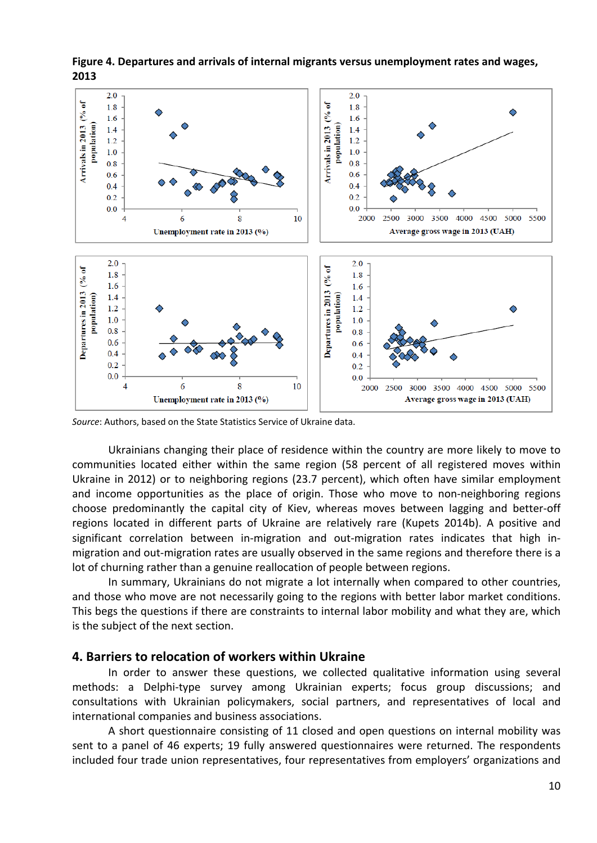

**Figure 4. Departures and arrivals of internal migrants versus unemployment rates and wages, 2013**

*Source*: Authors, based on the State Statistics Service of Ukraine data.

Ukrainians changing their place of residence within the country are more likely to move to communities located either within the same region (58 percent of all registered moves within Ukraine in 2012) or to neighboring regions (23.7 percent), which often have similar employment and income opportunities as the place of origin. Those who move to non-neighboring regions choose predominantly the capital city of Kiev, whereas moves between lagging and better-off regions located in different parts of Ukraine are relatively rare (Kupets 2014b). A positive and significant correlation between in-migration and out-migration rates indicates that high inmigration and out-migration rates are usually observed in the same regions and therefore there is a lot of churning rather than a genuine reallocation of people between regions.

In summary, Ukrainians do not migrate a lot internally when compared to other countries, and those who move are not necessarily going to the regions with better labor market conditions. This begs the questions if there are constraints to internal labor mobility and what they are, which is the subject of the next section.

#### **4. Barriers to relocation of workers within Ukraine**

In order to answer these questions, we collected qualitative information using several methods: a Delphi-type survey among Ukrainian experts; focus group discussions; and consultations with Ukrainian policymakers, social partners, and representatives of local and international companies and business associations.

A short questionnaire consisting of 11 closed and open questions on internal mobility was sent to a panel of 46 experts; 19 fully answered questionnaires were returned. The respondents included four trade union representatives, four representatives from employers' organizations and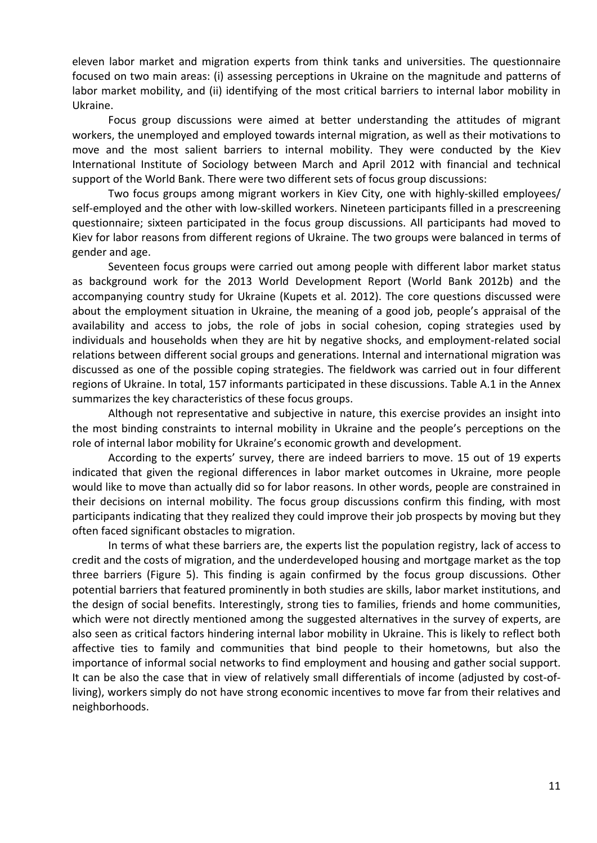eleven labor market and migration experts from think tanks and universities. The questionnaire focused on two main areas: (i) assessing perceptions in Ukraine on the magnitude and patterns of labor market mobility, and (ii) identifying of the most critical barriers to internal labor mobility in Ukraine.

Focus group discussions were aimed at better understanding the attitudes of migrant workers, the unemployed and employed towards internal migration, as well as their motivations to move and the most salient barriers to internal mobility. They were conducted by the Kiev International Institute of Sociology between March and April 2012 with financial and technical support of the World Bank. There were two different sets of focus group discussions:

Two focus groups among migrant workers in Kiev City, one with highly-skilled employees/ self-employed and the other with low-skilled workers. Nineteen participants filled in a prescreening questionnaire; sixteen participated in the focus group discussions. All participants had moved to Kiev for labor reasons from different regions of Ukraine. The two groups were balanced in terms of gender and age.

Seventeen focus groups were carried out among people with different labor market status as background work for the 2013 World Development Report (World Bank 2012b) and the accompanying country study for Ukraine (Kupets et al. 2012). The core questions discussed were about the employment situation in Ukraine, the meaning of a good job, people's appraisal of the availability and access to jobs, the role of jobs in social cohesion, coping strategies used by individuals and households when they are hit by negative shocks, and employment-related social relations between different social groups and generations. Internal and international migration was discussed as one of the possible coping strategies. The fieldwork was carried out in four different regions of Ukraine. In total, 157 informants participated in these discussions. Table A.1 in the Annex summarizes the key characteristics of these focus groups.

Although not representative and subjective in nature, this exercise provides an insight into the most binding constraints to internal mobility in Ukraine and the people's perceptions on the role of internal labor mobility for Ukraine's economic growth and development.

According to the experts' survey, there are indeed barriers to move. 15 out of 19 experts indicated that given the regional differences in labor market outcomes in Ukraine, more people would like to move than actually did so for labor reasons. In other words, people are constrained in their decisions on internal mobility. The focus group discussions confirm this finding, with most participants indicating that they realized they could improve their job prospects by moving but they often faced significant obstacles to migration.

In terms of what these barriers are, the experts list the population registry, lack of access to credit and the costs of migration, and the underdeveloped housing and mortgage market as the top three barriers (Figure 5). This finding is again confirmed by the focus group discussions. Other potential barriers that featured prominently in both studies are skills, labor market institutions, and the design of social benefits. Interestingly, strong ties to families, friends and home communities, which were not directly mentioned among the suggested alternatives in the survey of experts, are also seen as critical factors hindering internal labor mobility in Ukraine. This is likely to reflect both affective ties to family and communities that bind people to their hometowns, but also the importance of informal social networks to find employment and housing and gather social support. It can be also the case that in view of relatively small differentials of income (adjusted by cost-ofliving), workers simply do not have strong economic incentives to move far from their relatives and neighborhoods.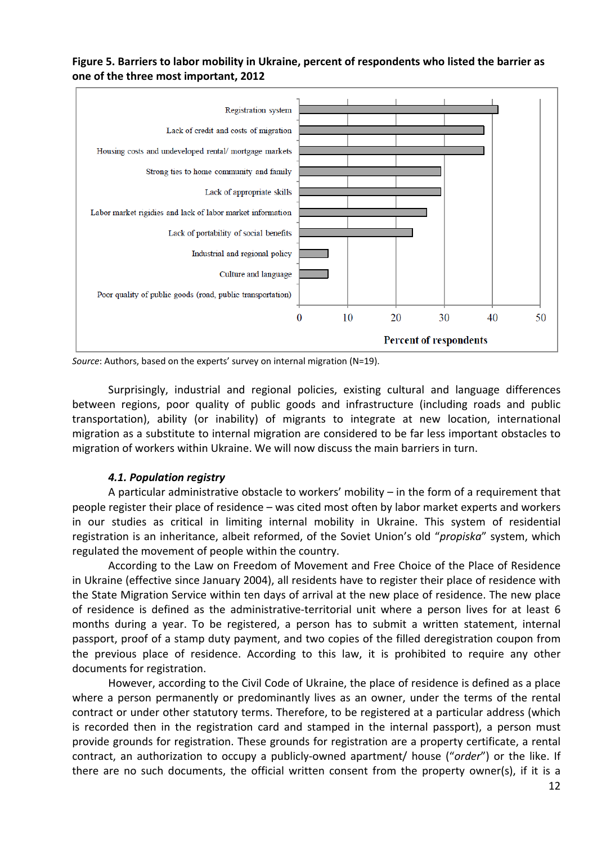#### **Figure 5. Barriers to labor mobility in Ukraine, percent of respondents who listed the barrier as one of the three most important, 2012**



*Source*: Authors, based on the experts' survey on internal migration (N=19).

Surprisingly, industrial and regional policies, existing cultural and language differences between regions, poor quality of public goods and infrastructure (including roads and public transportation), ability (or inability) of migrants to integrate at new location, international migration as a substitute to internal migration are considered to be far less important obstacles to migration of workers within Ukraine. We will now discuss the main barriers in turn.

#### *4.1. Population registry*

A particular administrative obstacle to workers' mobility – in the form of a requirement that people register their place of residence – was cited most often by labor market experts and workers in our studies as critical in limiting internal mobility in Ukraine. This system of residential registration is an inheritance, albeit reformed, of the Soviet Union's old "*propiska*" system, which regulated the movement of people within the country.

According to the Law on Freedom of Movement and Free Choice of the Place of Residence in Ukraine (effective since January 2004), all residents have to register their place of residence with the State Migration Service within ten days of arrival at the new place of residence. The new place of residence is defined as the administrative-territorial unit where a person lives for at least 6 months during a year. To be registered, a person has to submit a written statement, internal passport, proof of a stamp duty payment, and two copies of the filled deregistration coupon from the previous place of residence. According to this law, it is prohibited to require any other documents for registration.

However, according to the Civil Code of Ukraine, the place of residence is defined as a place where a person permanently or predominantly lives as an owner, under the terms of the rental contract or under other statutory terms. Therefore, to be registered at a particular address (which is recorded then in the registration card and stamped in the internal passport), a person must provide grounds for registration. These grounds for registration are a property certificate, a rental contract, an authorization to occupy a publicly-owned apartment/ house ("*order*") or the like. If there are no such documents, the official written consent from the property owner(s), if it is a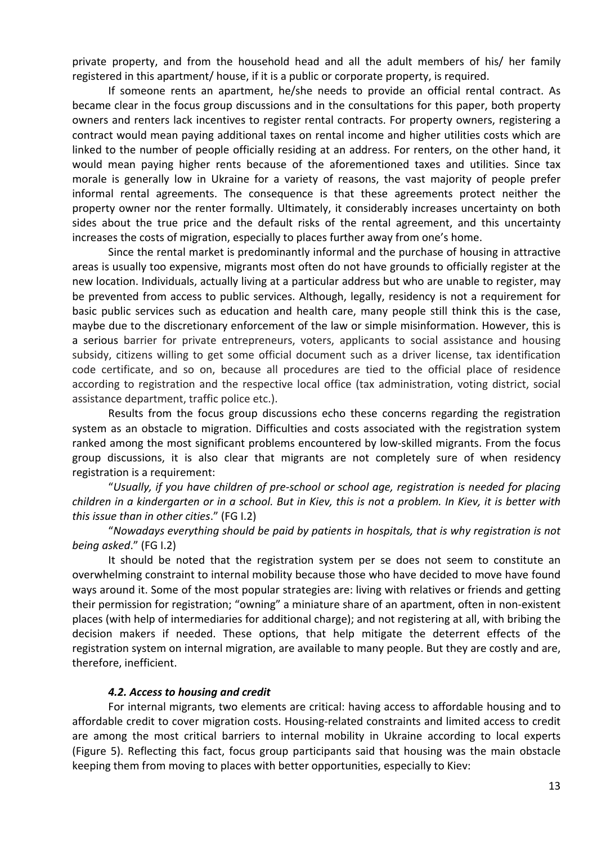private property, and from the household head and all the adult members of his/ her family registered in this apartment/ house, if it is a public or corporate property, is required.

If someone rents an apartment, he/she needs to provide an official rental contract. As became clear in the focus group discussions and in the consultations for this paper, both property owners and renters lack incentives to register rental contracts. For property owners, registering a contract would mean paying additional taxes on rental income and higher utilities costs which are linked to the number of people officially residing at an address. For renters, on the other hand, it would mean paying higher rents because of the aforementioned taxes and utilities. Since tax morale is generally low in Ukraine for a variety of reasons, the vast majority of people prefer informal rental agreements. The consequence is that these agreements protect neither the property owner nor the renter formally. Ultimately, it considerably increases uncertainty on both sides about the true price and the default risks of the rental agreement, and this uncertainty increases the costs of migration, especially to places further away from one's home.

Since the rental market is predominantly informal and the purchase of housing in attractive areas is usually too expensive, migrants most often do not have grounds to officially register at the new location. Individuals, actually living at a particular address but who are unable to register, may be prevented from access to public services. Although, legally, residency is not a requirement for basic public services such as education and health care, many people still think this is the case, maybe due to the discretionary enforcement of the law or simple misinformation. However, this is a serious barrier for private entrepreneurs, voters, applicants to social assistance and housing subsidy, citizens willing to get some official document such as a driver license, tax identification code certificate, and so on, because all procedures are tied to the official place of residence according to registration and the respective local office (tax administration, voting district, social assistance department, traffic police etc.).

Results from the focus group discussions echo these concerns regarding the registration system as an obstacle to migration. Difficulties and costs associated with the registration system ranked among the most significant problems encountered by low-skilled migrants. From the focus group discussions, it is also clear that migrants are not completely sure of when residency registration is a requirement:

"*Usually, if you have children of pre-school or school age, registration is needed for placing children in a kindergarten or in a school. But in Kiev, this is not a problem. In Kiev, it is better with this issue than in other cities*." (FG I.2)

"*Nowadays everything should be paid by patients in hospitals, that is why registration is not being asked*." (FG I.2)

It should be noted that the registration system per se does not seem to constitute an overwhelming constraint to internal mobility because those who have decided to move have found ways around it. Some of the most popular strategies are: living with relatives or friends and getting their permission for registration; "owning" a miniature share of an apartment, often in non-existent places (with help of intermediaries for additional charge); and not registering at all, with bribing the decision makers if needed. These options, that help mitigate the deterrent effects of the registration system on internal migration, are available to many people. But they are costly and are, therefore, inefficient.

#### *4.2. Access to housing and credit*

For internal migrants, two elements are critical: having access to affordable housing and to affordable credit to cover migration costs. Housing-related constraints and limited access to credit are among the most critical barriers to internal mobility in Ukraine according to local experts (Figure 5). Reflecting this fact, focus group participants said that housing was the main obstacle keeping them from moving to places with better opportunities, especially to Kiev: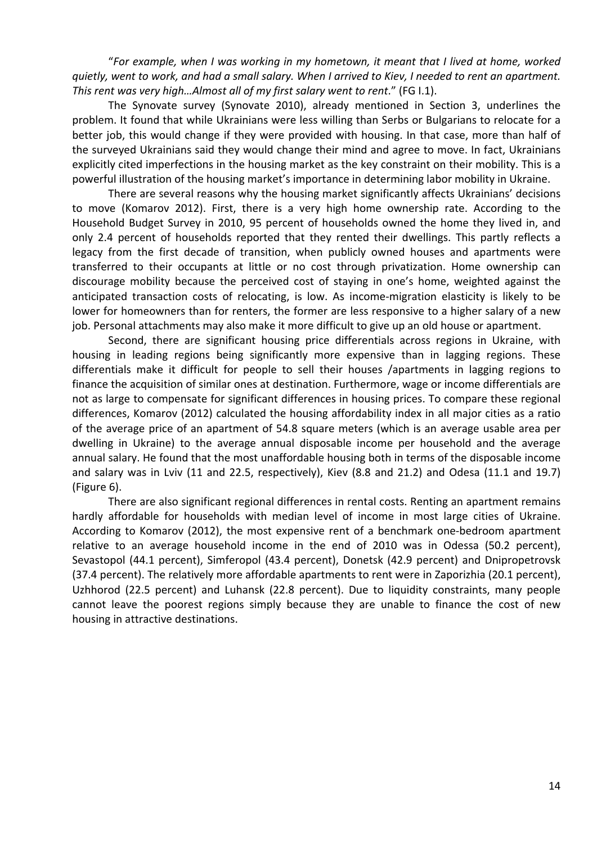"*For example, when I was working in my hometown, it meant that I lived at home, worked quietly, went to work, and had a small salary. When I arrived to Kiev, I needed to rent an apartment. This rent was very high…Almost all of my first salary went to rent*." (FG I.1).

The Synovate survey (Synovate 2010), already mentioned in Section 3, underlines the problem. It found that while Ukrainians were less willing than Serbs or Bulgarians to relocate for a better job, this would change if they were provided with housing. In that case, more than half of the surveyed Ukrainians said they would change their mind and agree to move. In fact, Ukrainians explicitly cited imperfections in the housing market as the key constraint on their mobility. This is a powerful illustration of the housing market's importance in determining labor mobility in Ukraine.

There are several reasons why the housing market significantly affects Ukrainians' decisions to move (Komarov 2012). First, there is a very high home ownership rate. According to the Household Budget Survey in 2010, 95 percent of households owned the home they lived in, and only 2.4 percent of households reported that they rented their dwellings. This partly reflects a legacy from the first decade of transition, when publicly owned houses and apartments were transferred to their occupants at little or no cost through privatization. Home ownership can discourage mobility because the perceived cost of staying in one's home, weighted against the anticipated transaction costs of relocating, is low. As income-migration elasticity is likely to be lower for homeowners than for renters, the former are less responsive to a higher salary of a new job. Personal attachments may also make it more difficult to give up an old house or apartment.

Second, there are significant housing price differentials across regions in Ukraine, with housing in leading regions being significantly more expensive than in lagging regions. These differentials make it difficult for people to sell their houses /apartments in lagging regions to finance the acquisition of similar ones at destination. Furthermore, wage or income differentials are not as large to compensate for significant differences in housing prices. To compare these regional differences, Komarov (2012) calculated the housing affordability index in all major cities as a ratio of the average price of an apartment of 54.8 square meters (which is an average usable area per dwelling in Ukraine) to the average annual disposable income per household and the average annual salary. He found that the most unaffordable housing both in terms of the disposable income and salary was in Lviv (11 and 22.5, respectively), Kiev (8.8 and 21.2) and Odesa (11.1 and 19.7) (Figure 6).

There are also significant regional differences in rental costs. Renting an apartment remains hardly affordable for households with median level of income in most large cities of Ukraine. According to Komarov (2012), the most expensive rent of a benchmark one-bedroom apartment relative to an average household income in the end of 2010 was in Odessa (50.2 percent), Sevastopol (44.1 percent), Simferopol (43.4 percent), Donetsk (42.9 percent) and Dnipropetrovsk (37.4 percent). The relatively more affordable apartments to rent were in Zaporizhia (20.1 percent), Uzhhorod (22.5 percent) and Luhansk (22.8 percent). Due to liquidity constraints, many people cannot leave the poorest regions simply because they are unable to finance the cost of new housing in attractive destinations.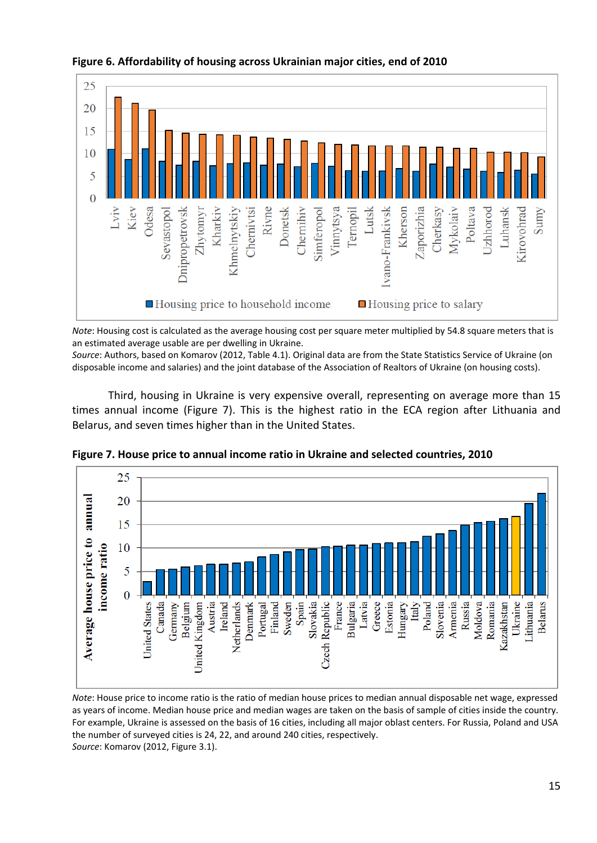

#### **Figure 6. Affordability of housing across Ukrainian major cities, end of 2010**

*Note*: Housing cost is calculated as the average housing cost per square meter multiplied by 54.8 square meters that is an estimated average usable are per dwelling in Ukraine.

*Source*: Authors, based on Komarov (2012, Table 4.1). Original data are from the State Statistics Service of Ukraine (on disposable income and salaries) and the joint database of the Association of Realtors of Ukraine (on housing costs).

Third, housing in Ukraine is very expensive overall, representing on average more than 15 times annual income (Figure 7). This is the highest ratio in the ECA region after Lithuania and Belarus, and seven times higher than in the United States.



**Figure 7. House price to annual income ratio in Ukraine and selected countries, 2010**

*Note*: House price to income ratio is the ratio of median house prices to median annual disposable net wage, expressed as years of income. Median house price and median wages are taken on the basis of sample of cities inside the country. For example, Ukraine is assessed on the basis of 16 cities, including all major oblast centers. For Russia, Poland and USA the number of surveyed cities is 24, 22, and around 240 cities, respectively. *Source*: Komarov (2012, Figure 3.1).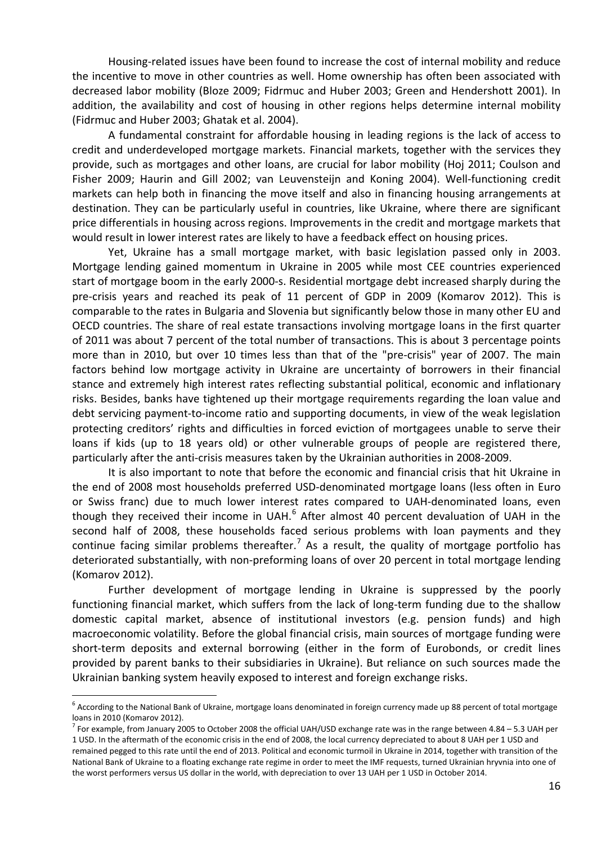Housing-related issues have been found to increase the cost of internal mobility and reduce the incentive to move in other countries as well. Home ownership has often been associated with decreased labor mobility (Bloze 2009; Fidrmuc and Huber 2003; Green and Hendershott 2001). In addition, the availability and cost of housing in other regions helps determine internal mobility (Fidrmuc and Huber 2003; Ghatak et al. 2004).

A fundamental constraint for affordable housing in leading regions is the lack of access to credit and underdeveloped mortgage markets. Financial markets, together with the services they provide, such as mortgages and other loans, are crucial for labor mobility (Hoj 2011; Coulson and Fisher 2009; Haurin and Gill 2002; van Leuvensteijn and Koning 2004). Well-functioning credit markets can help both in financing the move itself and also in financing housing arrangements at destination. They can be particularly useful in countries, like Ukraine, where there are significant price differentials in housing across regions. Improvements in the credit and mortgage markets that would result in lower interest rates are likely to have a feedback effect on housing prices.

Yet, Ukraine has a small mortgage market, with basic legislation passed only in 2003. Mortgage lending gained momentum in Ukraine in 2005 while most CEE countries experienced start of mortgage boom in the early 2000-s. Residential mortgage debt increased sharply during the pre-crisis years and reached its peak of 11 percent of GDP in 2009 (Komarov 2012). This is comparable to the rates in Bulgaria and Slovenia but significantly below those in many other EU and OECD countries. The share of real estate transactions involving mortgage loans in the first quarter of 2011 was about 7 percent of the total number of transactions. This is about 3 percentage points more than in 2010, but over 10 times less than that of the "pre-crisis" year of 2007. The main factors behind low mortgage activity in Ukraine are uncertainty of borrowers in their financial stance and extremely high interest rates reflecting substantial political, economic and inflationary risks. Besides, banks have tightened up their mortgage requirements regarding the loan value and debt servicing payment-to-income ratio and supporting documents, in view of the weak legislation protecting creditors' rights and difficulties in forced eviction of mortgagees unable to serve their loans if kids (up to 18 years old) or other vulnerable groups of people are registered there, particularly after the anti-crisis measures taken by the Ukrainian authorities in 2008-2009.

It is also important to note that before the economic and financial crisis that hit Ukraine in the end of 2008 most households preferred USD-denominated mortgage loans (less often in Euro or Swiss franc) due to much lower interest rates compared to UAH-denominated loans, even though they received their income in UAH. $<sup>6</sup>$  $<sup>6</sup>$  $<sup>6</sup>$  After almost 40 percent devaluation of UAH in the</sup> second half of 2008, these households faced serious problems with loan payments and they continue facing similar problems thereafter.<sup>[7](#page-16-0)</sup> As a result, the quality of mortgage portfolio has deteriorated substantially, with non-preforming loans of over 20 percent in total mortgage lending (Komarov 2012).

Further development of mortgage lending in Ukraine is suppressed by the poorly functioning financial market, which suffers from the lack of long-term funding due to the shallow domestic capital market, absence of institutional investors (e.g. pension funds) and high macroeconomic volatility. Before the global financial crisis, main sources of mortgage funding were short-term deposits and external borrowing (either in the form of Eurobonds, or credit lines provided by parent banks to their subsidiaries in Ukraine). But reliance on such sources made the Ukrainian banking system heavily exposed to interest and foreign exchange risks.

 $6$  According to the National Bank of Ukraine, mortgage loans denominated in foreign currency made up 88 percent of total mortgage loans in 2010 (Komarov 2012).

<span id="page-16-1"></span><span id="page-16-0"></span> $^7$  For example, from January 2005 to October 2008 the official UAH/USD exchange rate was in the range between 4.84 – 5.3 UAH per 1 USD. In the aftermath of the economic crisis in the end of 2008, the local currency depreciated to about 8 UAH per 1 USD and remained pegged to this rate until the end of 2013. Political and economic turmoil in Ukraine in 2014, together with transition of the National Bank of Ukraine to a floating exchange rate regime in order to meet the IMF requests, turned Ukrainian hryvnia into one of the worst performers versus US dollar in the world, with depreciation to over 13 UAH per 1 USD in October 2014.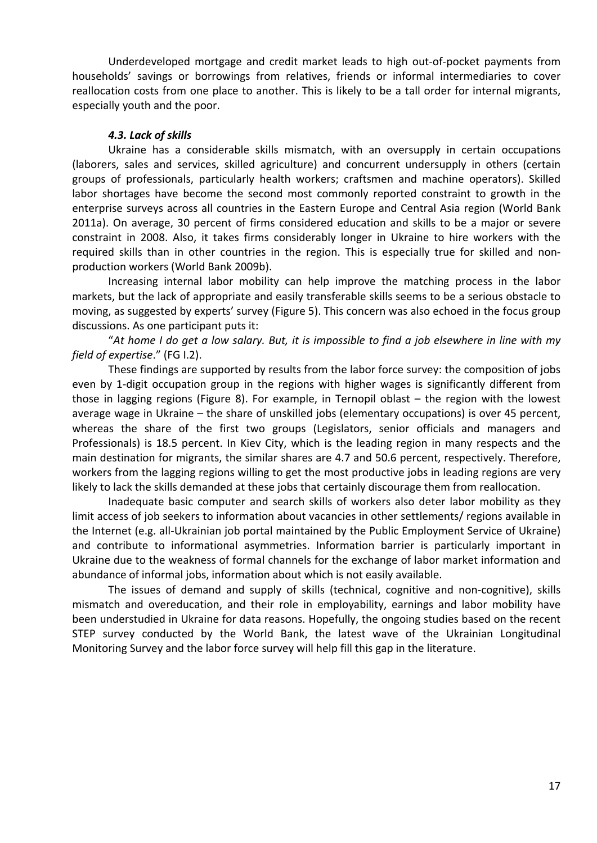Underdeveloped mortgage and credit market leads to high out-of-pocket payments from households' savings or borrowings from relatives, friends or informal intermediaries to cover reallocation costs from one place to another. This is likely to be a tall order for internal migrants, especially youth and the poor.

#### *4.3. Lack of skills*

Ukraine has a considerable skills mismatch, with an oversupply in certain occupations (laborers, sales and services, skilled agriculture) and concurrent undersupply in others (certain groups of professionals, particularly health workers; craftsmen and machine operators). Skilled labor shortages have become the second most commonly reported constraint to growth in the enterprise surveys across all countries in the Eastern Europe and Central Asia region (World Bank 2011a). On average, 30 percent of firms considered education and skills to be a major or severe constraint in 2008. Also, it takes firms considerably longer in Ukraine to hire workers with the required skills than in other countries in the region. This is especially true for skilled and nonproduction workers (World Bank 2009b).

Increasing internal labor mobility can help improve the matching process in the labor markets, but the lack of appropriate and easily transferable skills seems to be a serious obstacle to moving, as suggested by experts' survey (Figure 5). This concern was also echoed in the focus group discussions. As one participant puts it:

"*At home I do get a low salary. But, it is impossible to find a job elsewhere in line with my field of expertise*." (FG I.2).

These findings are supported by results from the labor force survey: the composition of jobs even by 1-digit occupation group in the regions with higher wages is significantly different from those in lagging regions (Figure 8). For example, in Ternopil oblast – the region with the lowest average wage in Ukraine – the share of unskilled jobs (elementary occupations) is over 45 percent, whereas the share of the first two groups (Legislators, senior officials and managers and Professionals) is 18.5 percent. In Kiev City, which is the leading region in many respects and the main destination for migrants, the similar shares are 4.7 and 50.6 percent, respectively. Therefore, workers from the lagging regions willing to get the most productive jobs in leading regions are very likely to lack the skills demanded at these jobs that certainly discourage them from reallocation.

Inadequate basic computer and search skills of workers also deter labor mobility as they limit access of job seekers to information about vacancies in other settlements/ regions available in the Internet (e.g. all-Ukrainian job portal maintained by the Public Employment Service of Ukraine) and contribute to informational asymmetries. Information barrier is particularly important in Ukraine due to the weakness of formal channels for the exchange of labor market information and abundance of informal jobs, information about which is not easily available.

The issues of demand and supply of skills (technical, cognitive and non-cognitive), skills mismatch and overeducation, and their role in employability, earnings and labor mobility have been understudied in Ukraine for data reasons. Hopefully, the ongoing studies based on the recent STEP survey conducted by the World Bank, the latest wave of the Ukrainian Longitudinal Monitoring Survey and the labor force survey will help fill this gap in the literature.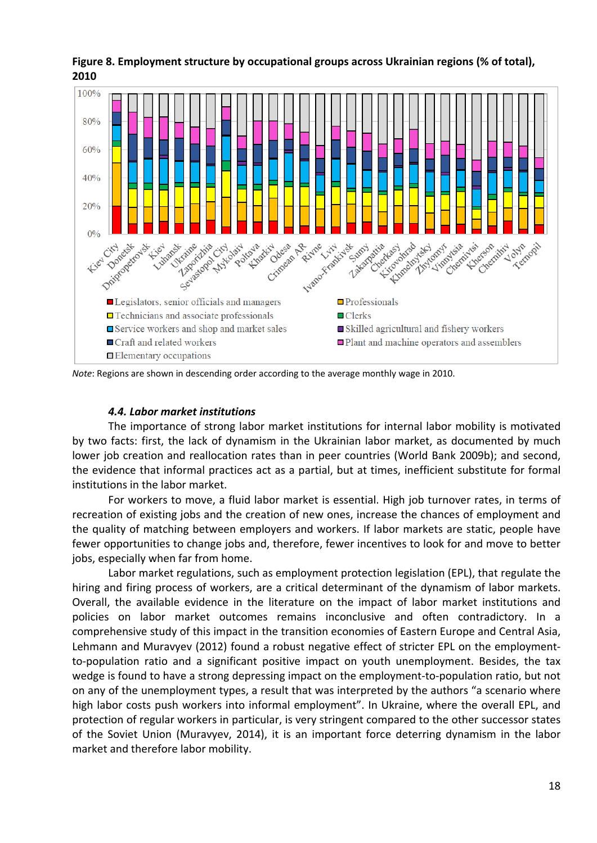

**Figure 8. Employment structure by occupational groups across Ukrainian regions (% of total), 2010**

*Note*: Regions are shown in descending order according to the average monthly wage in 2010.

#### *4.4. Labor market institutions*

The importance of strong labor market institutions for internal labor mobility is motivated by two facts: first, the lack of dynamism in the Ukrainian labor market, as documented by much lower job creation and reallocation rates than in peer countries (World Bank 2009b); and second, the evidence that informal practices act as a partial, but at times, inefficient substitute for formal institutions in the labor market.

For workers to move, a fluid labor market is essential. High job turnover rates, in terms of recreation of existing jobs and the creation of new ones, increase the chances of employment and the quality of matching between employers and workers. If labor markets are static, people have fewer opportunities to change jobs and, therefore, fewer incentives to look for and move to better jobs, especially when far from home.

Labor market regulations, such as employment protection legislation (EPL), that regulate the hiring and firing process of workers, are a critical determinant of the dynamism of labor markets. Overall, the available evidence in the literature on the impact of labor market institutions and policies on labor market outcomes remains inconclusive and often contradictory. In a comprehensive study of this impact in the transition economies of Eastern Europe and Central Asia, Lehmann and Muravyev (2012) found a robust negative effect of stricter EPL on the employmentto-population ratio and a significant positive impact on youth unemployment. Besides, the tax wedge is found to have a strong depressing impact on the employment-to-population ratio, but not on any of the unemployment types, a result that was interpreted by the authors "a scenario where high labor costs push workers into informal employment". In Ukraine, where the overall EPL, and protection of regular workers in particular, is very stringent compared to the other successor states of the Soviet Union (Muravyev, 2014), it is an important force deterring dynamism in the labor market and therefore labor mobility.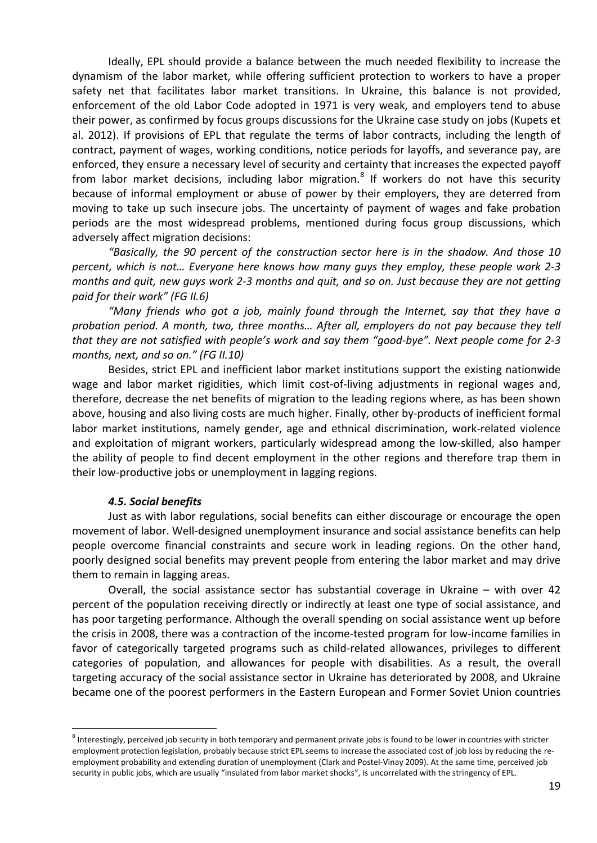Ideally, EPL should provide a balance between the much needed flexibility to increase the dynamism of the labor market, while offering sufficient protection to workers to have a proper safety net that facilitates labor market transitions. In Ukraine, this balance is not provided, enforcement of the old Labor Code adopted in 1971 is very weak, and employers tend to abuse their power, as confirmed by focus groups discussions for the Ukraine case study on jobs (Kupets et al. 2012). If provisions of EPL that regulate the terms of labor contracts, including the length of contract, payment of wages, working conditions, notice periods for layoffs, and severance pay, are enforced, they ensure a necessary level of security and certainty that increases the expected payoff from labor market decisions, including labor migration.<sup>[8](#page-16-1)</sup> If workers do not have this security because of informal employment or abuse of power by their employers, they are deterred from moving to take up such insecure jobs. The uncertainty of payment of wages and fake probation periods are the most widespread problems, mentioned during focus group discussions, which adversely affect migration decisions:

*"Basically, the 90 percent of the construction sector here is in the shadow. And those 10 percent, which is not… Everyone here knows how many guys they employ, these people work 2-3 months and quit, new guys work 2-3 months and quit, and so on. Just because they are not getting paid for their work" (FG II.6)*

*"Many friends who got a job, mainly found through the Internet, say that they have a probation period. A month, two, three months… After all, employers do not pay because they tell that they are not satisfied with people's work and say them "good-bye". Next people come for 2-3 months, next, and so on." (FG II.10)*

Besides, strict EPL and inefficient labor market institutions support the existing nationwide wage and labor market rigidities, which limit cost-of-living adjustments in regional wages and, therefore, decrease the net benefits of migration to the leading regions where, as has been shown above, housing and also living costs are much higher. Finally, other by-products of inefficient formal labor market institutions, namely gender, age and ethnical discrimination, work-related violence and exploitation of migrant workers, particularly widespread among the low-skilled, also hamper the ability of people to find decent employment in the other regions and therefore trap them in their low-productive jobs or unemployment in lagging regions.

#### *4.5. Social benefits*

Just as with labor regulations, social benefits can either discourage or encourage the open movement of labor. Well-designed unemployment insurance and social assistance benefits can help people overcome financial constraints and secure work in leading regions. On the other hand, poorly designed social benefits may prevent people from entering the labor market and may drive them to remain in lagging areas.

<span id="page-19-0"></span>Overall, the social assistance sector has substantial coverage in Ukraine – with over 42 percent of the population receiving directly or indirectly at least one type of social assistance, and has poor targeting performance. Although the overall spending on social assistance went up before the crisis in 2008, there was a contraction of the income-tested program for low-income families in favor of categorically targeted programs such as child-related allowances, privileges to different categories of population, and allowances for people with disabilities. As a result, the overall targeting accuracy of the social assistance sector in Ukraine has deteriorated by 2008, and Ukraine became one of the poorest performers in the Eastern European and Former Soviet Union countries

 $8$  Interestingly, perceived job security in both temporary and permanent private jobs is found to be lower in countries with stricter employment protection legislation, probably because strict EPL seems to increase the associated cost of job loss by reducing the reemployment probability and extending duration of unemployment (Clark and Postel-Vinay 2009). At the same time, perceived job security in public jobs, which are usually "insulated from labor market shocks", is uncorrelated with the stringency of EPL.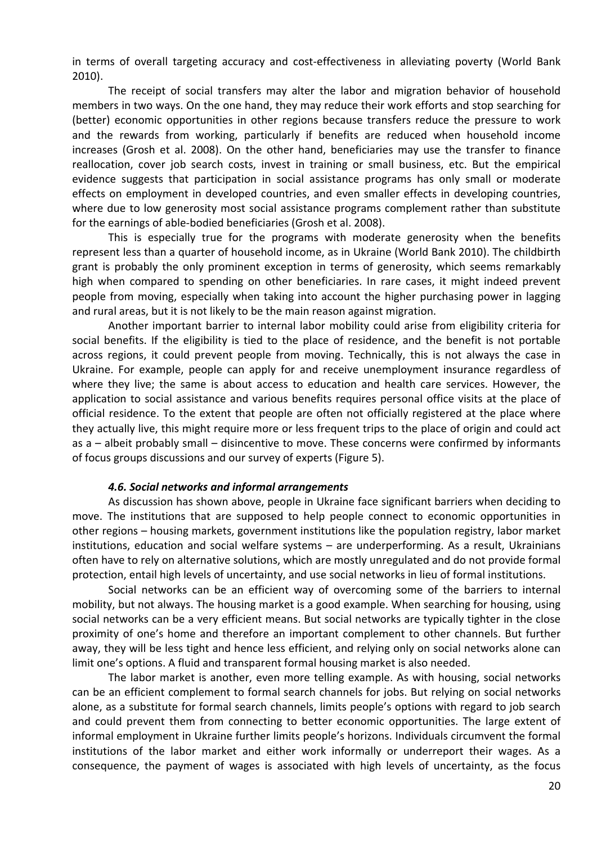in terms of overall targeting accuracy and cost-effectiveness in alleviating poverty (World Bank 2010).

The receipt of social transfers may alter the labor and migration behavior of household members in two ways. On the one hand, they may reduce their work efforts and stop searching for (better) economic opportunities in other regions because transfers reduce the pressure to work and the rewards from working, particularly if benefits are reduced when household income increases (Grosh et al. 2008). On the other hand, beneficiaries may use the transfer to finance reallocation, cover job search costs, invest in training or small business, etc. But the empirical evidence suggests that participation in social assistance programs has only small or moderate effects on employment in developed countries, and even smaller effects in developing countries, where due to low generosity most social assistance programs complement rather than substitute for the earnings of able-bodied beneficiaries (Grosh et al. 2008).

This is especially true for the programs with moderate generosity when the benefits represent less than a quarter of household income, as in Ukraine (World Bank 2010). The childbirth grant is probably the only prominent exception in terms of generosity, which seems remarkably high when compared to spending on other beneficiaries. In rare cases, it might indeed prevent people from moving, especially when taking into account the higher purchasing power in lagging and rural areas, but it is not likely to be the main reason against migration.

Another important barrier to internal labor mobility could arise from eligibility criteria for social benefits. If the eligibility is tied to the place of residence, and the benefit is not portable across regions, it could prevent people from moving. Technically, this is not always the case in Ukraine. For example, people can apply for and receive unemployment insurance regardless of where they live; the same is about access to education and health care services. However, the application to social assistance and various benefits requires personal office visits at the place of official residence. To the extent that people are often not officially registered at the place where they actually live, this might require more or less frequent trips to the place of origin and could act as a – albeit probably small – disincentive to move. These concerns were confirmed by informants of focus groups discussions and our survey of experts (Figure 5).

#### *4.6. Social networks and informal arrangements*

As discussion has shown above, people in Ukraine face significant barriers when deciding to move. The institutions that are supposed to help people connect to economic opportunities in other regions – housing markets, government institutions like the population registry, labor market institutions, education and social welfare systems – are underperforming. As a result, Ukrainians often have to rely on alternative solutions, which are mostly unregulated and do not provide formal protection, entail high levels of uncertainty, and use social networks in lieu of formal institutions.

Social networks can be an efficient way of overcoming some of the barriers to internal mobility, but not always. The housing market is a good example. When searching for housing, using social networks can be a very efficient means. But social networks are typically tighter in the close proximity of one's home and therefore an important complement to other channels. But further away, they will be less tight and hence less efficient, and relying only on social networks alone can limit one's options. A fluid and transparent formal housing market is also needed.

The labor market is another, even more telling example. As with housing, social networks can be an efficient complement to formal search channels for jobs. But relying on social networks alone, as a substitute for formal search channels, limits people's options with regard to job search and could prevent them from connecting to better economic opportunities. The large extent of informal employment in Ukraine further limits people's horizons. Individuals circumvent the formal institutions of the labor market and either work informally or underreport their wages. As a consequence, the payment of wages is associated with high levels of uncertainty, as the focus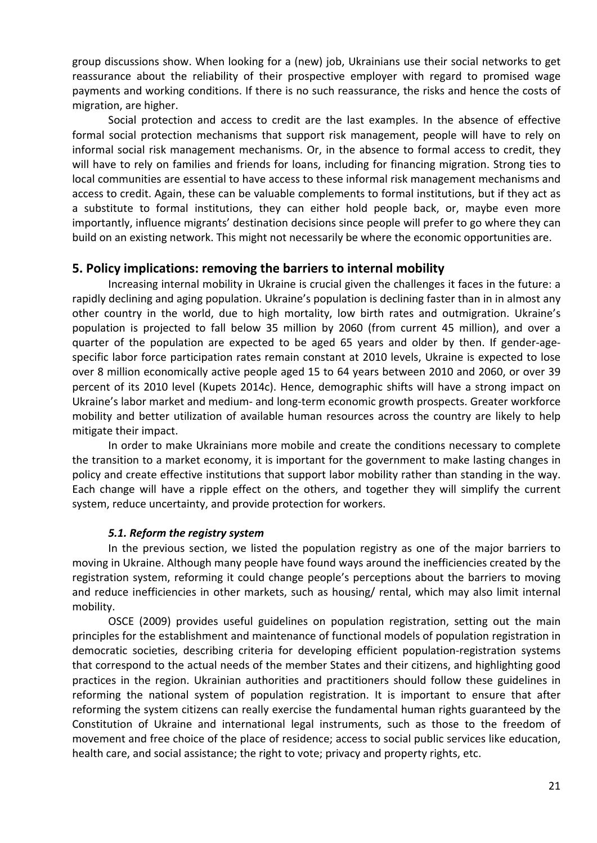group discussions show. When looking for a (new) job, Ukrainians use their social networks to get reassurance about the reliability of their prospective employer with regard to promised wage payments and working conditions. If there is no such reassurance, the risks and hence the costs of migration, are higher.

Social protection and access to credit are the last examples. In the absence of effective formal social protection mechanisms that support risk management, people will have to rely on informal social risk management mechanisms. Or, in the absence to formal access to credit, they will have to rely on families and friends for loans, including for financing migration. Strong ties to local communities are essential to have access to these informal risk management mechanisms and access to credit. Again, these can be valuable complements to formal institutions, but if they act as a substitute to formal institutions, they can either hold people back, or, maybe even more importantly, influence migrants' destination decisions since people will prefer to go where they can build on an existing network. This might not necessarily be where the economic opportunities are.

#### **5. Policy implications: removing the barriers to internal mobility**

Increasing internal mobility in Ukraine is crucial given the challenges it faces in the future: a rapidly declining and aging population. Ukraine's population is declining faster than in in almost any other country in the world, due to high mortality, low birth rates and outmigration. Ukraine's population is projected to fall below 35 million by 2060 (from current 45 million), and over a quarter of the population are expected to be aged 65 years and older by then. If gender-agespecific labor force participation rates remain constant at 2010 levels, Ukraine is expected to lose over 8 million economically active people aged 15 to 64 years between 2010 and 2060, or over 39 percent of its 2010 level (Kupets 2014c). Hence, demographic shifts will have a strong impact on Ukraine's labor market and medium- and long-term economic growth prospects. Greater workforce mobility and better utilization of available human resources across the country are likely to help mitigate their impact.

In order to make Ukrainians more mobile and create the conditions necessary to complete the transition to a market economy, it is important for the government to make lasting changes in policy and create effective institutions that support labor mobility rather than standing in the way. Each change will have a ripple effect on the others, and together they will simplify the current system, reduce uncertainty, and provide protection for workers.

#### *5.1. Reform the registry system*

In the previous section, we listed the population registry as one of the major barriers to moving in Ukraine. Although many people have found ways around the inefficiencies created by the registration system, reforming it could change people's perceptions about the barriers to moving and reduce inefficiencies in other markets, such as housing/ rental, which may also limit internal mobility.

OSCE (2009) provides useful guidelines on population registration, setting out the main principles for the establishment and maintenance of functional models of population registration in democratic societies, describing criteria for developing efficient population-registration systems that correspond to the actual needs of the member States and their citizens, and highlighting good practices in the region. Ukrainian authorities and practitioners should follow these guidelines in reforming the national system of population registration. It is important to ensure that after reforming the system citizens can really exercise the fundamental human rights guaranteed by the Constitution of Ukraine and international legal instruments, such as those to the freedom of movement and free choice of the place of residence; access to social public services like education, health care, and social assistance; the right to vote; privacy and property rights, etc.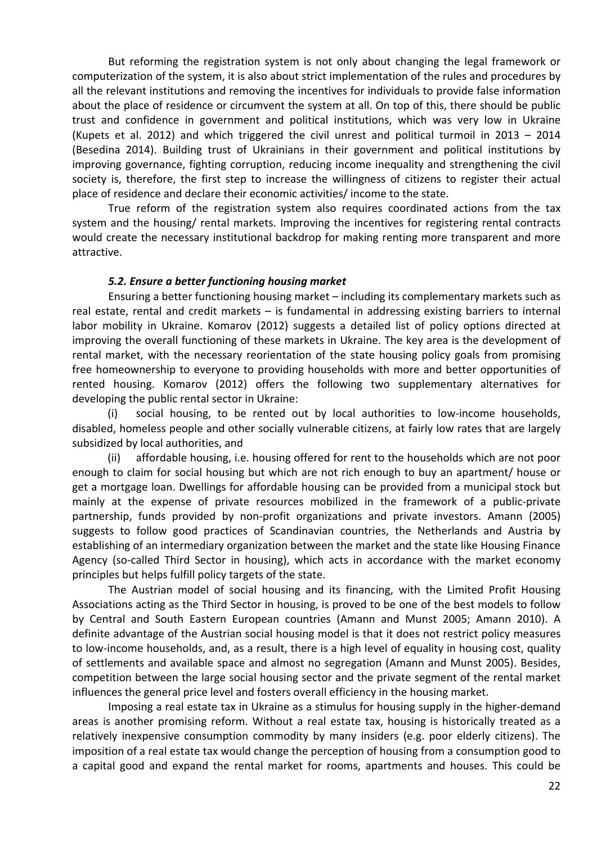But reforming the registration system is not only about changing the legal framework or computerization of the system, it is also about strict implementation of the rules and procedures by all the relevant institutions and removing the incentives for individuals to provide false information about the place of residence or circumvent the system at all. On top of this, there should be public trust and confidence in government and political institutions, which was very low in Ukraine (Kupets et al. 2012) and which triggered the civil unrest and political turmoil in 2013 – 2014 (Besedina 2014). Building trust of Ukrainians in their government and political institutions by improving governance, fighting corruption, reducing income inequality and strengthening the civil society is, therefore, the first step to increase the willingness of citizens to register their actual place of residence and declare their economic activities/ income to the state.

True reform of the registration system also requires coordinated actions from the tax system and the housing/ rental markets. Improving the incentives for registering rental contracts would create the necessary institutional backdrop for making renting more transparent and more attractive.

#### *5.2. Ensure a better functioning housing market*

Ensuring a better functioning housing market – including its complementary markets such as real estate, rental and credit markets – is fundamental in addressing existing barriers to internal labor mobility in Ukraine. Komarov (2012) suggests a detailed list of policy options directed at improving the overall functioning of these markets in Ukraine. The key area is the development of rental market, with the necessary reorientation of the state housing policy goals from promising free homeownership to everyone to providing households with more and better opportunities of rented housing. Komarov (2012) offers the following two supplementary alternatives for developing the public rental sector in Ukraine:

(i) social housing, to be rented out by local authorities to low-income households, disabled, homeless people and other socially vulnerable citizens, at fairly low rates that are largely subsidized by local authorities, and

(ii) affordable housing, i.e. housing offered for rent to the households which are not poor enough to claim for social housing but which are not rich enough to buy an apartment/ house or get a mortgage loan. Dwellings for affordable housing can be provided from a municipal stock but mainly at the expense of private resources mobilized in the framework of a public-private partnership, funds provided by non-profit organizations and private investors. Amann (2005) suggests to follow good practices of Scandinavian countries, the Netherlands and Austria by establishing of an intermediary organization between the market and the state like Housing Finance Agency (so-called Third Sector in housing), which acts in accordance with the market economy principles but helps fulfill policy targets of the state.

The Austrian model of social housing and its financing, with the Limited Profit Housing Associations acting as the Third Sector in housing, is proved to be one of the best models to follow by Central and South Eastern European countries (Amann and Munst 2005; Amann 2010). A definite advantage of the Austrian social housing model is that it does not restrict policy measures to low-income households, and, as a result, there is a high level of equality in housing cost, quality of settlements and available space and almost no segregation (Amann and Munst 2005). Besides, competition between the large social housing sector and the private segment of the rental market influences the general price level and fosters overall efficiency in the housing market.

Imposing a real estate tax in Ukraine as a stimulus for housing supply in the higher-demand areas is another promising reform. Without a real estate tax, housing is historically treated as a relatively inexpensive consumption commodity by many insiders (e.g. poor elderly citizens). The imposition of a real estate tax would change the perception of housing from a consumption good to a capital good and expand the rental market for rooms, apartments and houses. This could be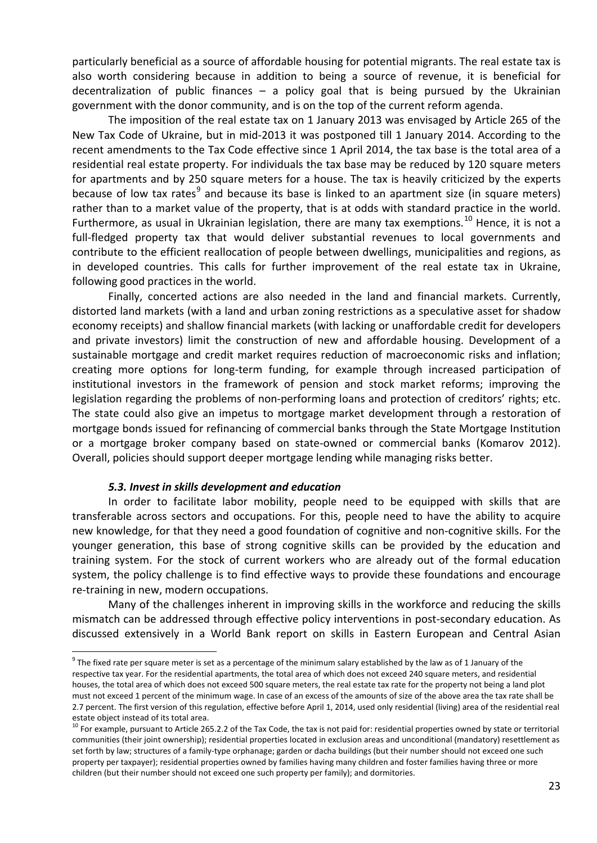particularly beneficial as a source of affordable housing for potential migrants. The real estate tax is also worth considering because in addition to being a source of revenue, it is beneficial for decentralization of public finances  $-$  a policy goal that is being pursued by the Ukrainian government with the donor community, and is on the top of the current reform agenda.

The imposition of the real estate tax on 1 January 2013 was envisaged by Article 265 of the New Tax Code of Ukraine, but in mid-2013 it was postponed till 1 January 2014. According to the recent amendments to the Tax Code effective since 1 April 2014, the tax base is the total area of a residential real estate property. For individuals the tax base may be reduced by 120 square meters for apartments and by 250 square meters for a house. The tax is heavily criticized by the experts because of low tax rates<sup>[9](#page-19-0)</sup> and because its base is linked to an apartment size (in square meters) rather than to a market value of the property, that is at odds with standard practice in the world. Furthermore, as usual in Ukrainian legislation, there are many tax exemptions.<sup>[10](#page-23-0)</sup> Hence, it is not a full-fledged property tax that would deliver substantial revenues to local governments and contribute to the efficient reallocation of people between dwellings, municipalities and regions, as in developed countries. This calls for further improvement of the real estate tax in Ukraine, following good practices in the world.

Finally, concerted actions are also needed in the land and financial markets. Currently, distorted land markets (with a land and urban zoning restrictions as a speculative asset for shadow economy receipts) and shallow financial markets (with lacking or unaffordable credit for developers and private investors) limit the construction of new and affordable housing. Development of a sustainable mortgage and credit market requires reduction of macroeconomic risks and inflation; creating more options for long-term funding, for example through increased participation of institutional investors in the framework of pension and stock market reforms; improving the legislation regarding the problems of non-performing loans and protection of creditors' rights; etc. The state could also give an impetus to mortgage market development through a restoration of mortgage bonds issued for refinancing of commercial banks through the State Mortgage Institution or a mortgage broker company based on state-owned or commercial banks (Komarov 2012). Overall, policies should support deeper mortgage lending while managing risks better.

#### *5.3. Invest in skills development and education*

In order to facilitate labor mobility, people need to be equipped with skills that are transferable across sectors and occupations. For this, people need to have the ability to acquire new knowledge, for that they need a good foundation of cognitive and non-cognitive skills. For the younger generation, this base of strong cognitive skills can be provided by the education and training system. For the stock of current workers who are already out of the formal education system, the policy challenge is to find effective ways to provide these foundations and encourage re-training in new, modern occupations.

Many of the challenges inherent in improving skills in the workforce and reducing the skills mismatch can be addressed through effective policy interventions in post-secondary education. As discussed extensively in a World Bank report on skills in Eastern European and Central Asian

 $9$  The fixed rate per square meter is set as a percentage of the minimum salary established by the law as of 1 January of the respective tax year. For the residential apartments, the total area of which does not exceed 240 square meters, and residential houses, the total area of which does not exceed 500 square meters, the real estate tax rate for the property not being a land plot must not exceed 1 percent of the minimum wage. In case of an excess of the amounts of size of the above area the tax rate shall be 2.7 percent. The first version of this regulation, effective before April 1, 2014, used only residential (living) area of the residential real estate object instead of its total area.

<span id="page-23-0"></span><sup>&</sup>lt;sup>10</sup> For example, pursuant to Article 265.2.2 of the Tax Code, the tax is not paid for: residential properties owned by state or territorial communities (their joint ownership); residential properties located in exclusion areas and unconditional (mandatory) resettlement as set forth by law; structures of a family-type orphanage; garden or dacha buildings (but their number should not exceed one such property per taxpayer); residential properties owned by families having many children and foster families having three or more children (but their number should not exceed one such property per family); and dormitories.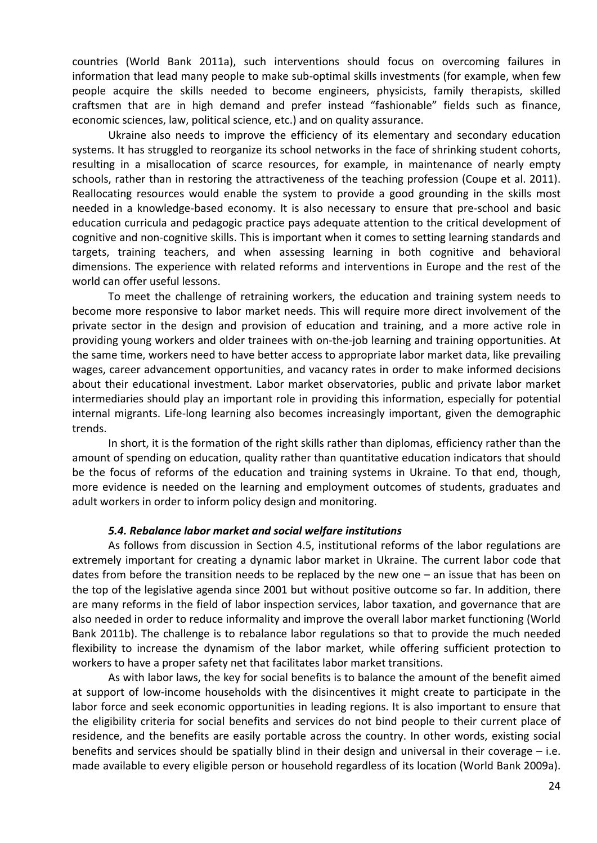countries (World Bank 2011a), such interventions should focus on overcoming failures in information that lead many people to make sub-optimal skills investments (for example, when few people acquire the skills needed to become engineers, physicists, family therapists, skilled craftsmen that are in high demand and prefer instead "fashionable" fields such as finance, economic sciences, law, political science, etc.) and on quality assurance.

Ukraine also needs to improve the efficiency of its elementary and secondary education systems. It has struggled to reorganize its school networks in the face of shrinking student cohorts, resulting in a misallocation of scarce resources, for example, in maintenance of nearly empty schools, rather than in restoring the attractiveness of the teaching profession (Coupe et al. 2011). Reallocating resources would enable the system to provide a good grounding in the skills most needed in a knowledge-based economy. It is also necessary to ensure that pre-school and basic education curricula and pedagogic practice pays adequate attention to the critical development of cognitive and non-cognitive skills. This is important when it comes to setting learning standards and targets, training teachers, and when assessing learning in both cognitive and behavioral dimensions. The experience with related reforms and interventions in Europe and the rest of the world can offer useful lessons.

To meet the challenge of retraining workers, the education and training system needs to become more responsive to labor market needs. This will require more direct involvement of the private sector in the design and provision of education and training, and a more active role in providing young workers and older trainees with on-the-job learning and training opportunities. At the same time, workers need to have better access to appropriate labor market data, like prevailing wages, career advancement opportunities, and vacancy rates in order to make informed decisions about their educational investment. Labor market observatories, public and private labor market intermediaries should play an important role in providing this information, especially for potential internal migrants. Life-long learning also becomes increasingly important, given the demographic trends.

In short, it is the formation of the right skills rather than diplomas, efficiency rather than the amount of spending on education, quality rather than quantitative education indicators that should be the focus of reforms of the education and training systems in Ukraine. To that end, though, more evidence is needed on the learning and employment outcomes of students, graduates and adult workers in order to inform policy design and monitoring.

#### *5.4. Rebalance labor market and social welfare institutions*

As follows from discussion in Section 4.5, institutional reforms of the labor regulations are extremely important for creating a dynamic labor market in Ukraine. The current labor code that dates from before the transition needs to be replaced by the new one – an issue that has been on the top of the legislative agenda since 2001 but without positive outcome so far. In addition, there are many reforms in the field of labor inspection services, labor taxation, and governance that are also needed in order to reduce informality and improve the overall labor market functioning (World Bank 2011b). The challenge is to rebalance labor regulations so that to provide the much needed flexibility to increase the dynamism of the labor market, while offering sufficient protection to workers to have a proper safety net that facilitates labor market transitions.

As with labor laws, the key for social benefits is to balance the amount of the benefit aimed at support of low-income households with the disincentives it might create to participate in the labor force and seek economic opportunities in leading regions. It is also important to ensure that the eligibility criteria for social benefits and services do not bind people to their current place of residence, and the benefits are easily portable across the country. In other words, existing social benefits and services should be spatially blind in their design and universal in their coverage – i.e. made available to every eligible person or household regardless of its location (World Bank 2009a).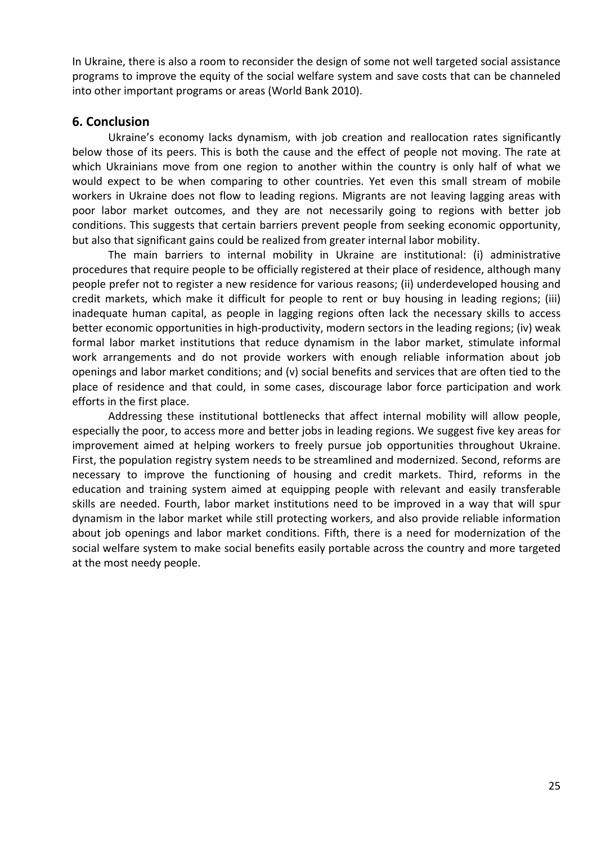In Ukraine, there is also a room to reconsider the design of some not well targeted social assistance programs to improve the equity of the social welfare system and save costs that can be channeled into other important programs or areas (World Bank 2010).

### **6. Conclusion**

Ukraine's economy lacks dynamism, with job creation and reallocation rates significantly below those of its peers. This is both the cause and the effect of people not moving. The rate at which Ukrainians move from one region to another within the country is only half of what we would expect to be when comparing to other countries. Yet even this small stream of mobile workers in Ukraine does not flow to leading regions. Migrants are not leaving lagging areas with poor labor market outcomes, and they are not necessarily going to regions with better job conditions. This suggests that certain barriers prevent people from seeking economic opportunity, but also that significant gains could be realized from greater internal labor mobility.

The main barriers to internal mobility in Ukraine are institutional: (i) administrative procedures that require people to be officially registered at their place of residence, although many people prefer not to register a new residence for various reasons; (ii) underdeveloped housing and credit markets, which make it difficult for people to rent or buy housing in leading regions; (iii) inadequate human capital, as people in lagging regions often lack the necessary skills to access better economic opportunities in high-productivity, modern sectors in the leading regions; (iv) weak formal labor market institutions that reduce dynamism in the labor market, stimulate informal work arrangements and do not provide workers with enough reliable information about job openings and labor market conditions; and (v) social benefits and services that are often tied to the place of residence and that could, in some cases, discourage labor force participation and work efforts in the first place.

Addressing these institutional bottlenecks that affect internal mobility will allow people, especially the poor, to access more and better jobs in leading regions. We suggest five key areas for improvement aimed at helping workers to freely pursue job opportunities throughout Ukraine. First, the population registry system needs to be streamlined and modernized. Second, reforms are necessary to improve the functioning of housing and credit markets. Third, reforms in the education and training system aimed at equipping people with relevant and easily transferable skills are needed. Fourth, labor market institutions need to be improved in a way that will spur dynamism in the labor market while still protecting workers, and also provide reliable information about job openings and labor market conditions. Fifth, there is a need for modernization of the social welfare system to make social benefits easily portable across the country and more targeted at the most needy people.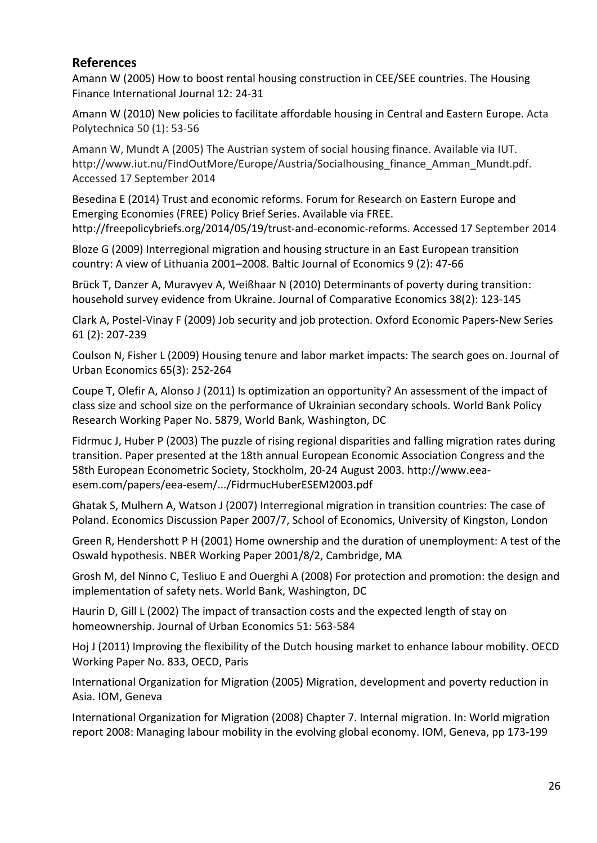### **References**

Amann W (2005) How to boost rental housing construction in CEE/SEE countries. The Housing Finance International Journal 12: 24-31

Amann W (2010) New policies to facilitate affordable housing in Central and Eastern Europe. Acta Polytechnica 50 (1): 53-56

Amann W, Mundt A (2005) The Austrian system of social housing finance. Available via IUT. [http://www.iut.nu/FindOutMore/Europe/Austria/Socialhousing\\_finance\\_Amman\\_Mundt.pdf.](http://www.iut.nu/FindOutMore/Europe/Austria/Socialhousing_finance_Amman_Mundt.pdf.%20Accessed%2017)  [Accessed](http://www.iut.nu/FindOutMore/Europe/Austria/Socialhousing_finance_Amman_Mundt.pdf.%20Accessed%2017) 17 September 2014

Besedina E (2014) Trust and economic reforms. Forum for Research on Eastern Europe and Emerging Economies (FREE) Policy Brief Series. Available via FREE. [http://freepolicybriefs.org/2014/05/19/trust-and-economic-reforms.](http://freepolicybriefs.org/2014/05/19/trust-and-economic-reforms) Accessed 17 September 2014

Bloze G (2009) Interregional migration and housing structure in an East European transition country: A view of Lithuania 2001–2008. Baltic Journal of Economics 9 (2): 47-66

Brück T, Danzer A, Muravyev A, Weißhaar N (2010) Determinants of poverty during transition: household survey evidence from Ukraine. Journal of Comparative Economics 38(2): 123-145

Clark A, Postel-Vinay F (2009) Job security and job protection. Oxford Economic Papers-New Series 61 (2): 207-239

Coulson N, Fisher L (2009) Housing tenure and labor market impacts: The search goes on. Journal of Urban Economics 65(3): 252-264

Coupe T, Olefir A, Alonso J (2011) Is optimization an opportunity? An assessment of the impact of class size and school size on the performance of Ukrainian secondary schools. World Bank Policy Research Working Paper No. 5879, World Bank, Washington, DC

Fidrmuc J, Huber P (2003) The puzzle of rising regional disparities and falling migration rates during transition. Paper presented at the 18th annual European Economic Association Congress and the 58th European Econometric Society, Stockholm, 20-24 August 2003. http:/[/www.eea](http://www.eea-esem.com/papers/eea-esem/.../FidrmucHuberESEM2003.pdf)[esem.com/papers/eea-esem/.../FidrmucHuberESEM2003.pdf](http://www.eea-esem.com/papers/eea-esem/.../FidrmucHuberESEM2003.pdf)

Ghatak S, Mulhern A, Watson J (2007) Interregional migration in transition countries: The case of Poland. Economics Discussion Paper 2007/7, School of Economics, University of Kingston, London

Green R, Hendershott P H (2001) Home ownership and the duration of unemployment: A test of the Oswald hypothesis. NBER Working Paper 2001/8/2, Cambridge, MA

Grosh M, del Ninno C, Tesliuo E and Ouerghi A (2008) For protection and promotion: the design and implementation of safety nets. World Bank, Washington, DC

Haurin D, Gill L (2002) The impact of transaction costs and the expected length of stay on homeownership. Journal of Urban Economics 51: 563-584

Hoj J (2011) Improving the flexibility of the Dutch housing market to enhance labour mobility. OECD Working Paper No. 833, OECD, Paris

International Organization for Migration (2005) Migration, development and poverty reduction in Asia. IOM, Geneva

International Organization for Migration (2008) Chapter 7. Internal migration. In: World migration report 2008: Managing labour mobility in the evolving global economy. IOM, Geneva, pp 173-199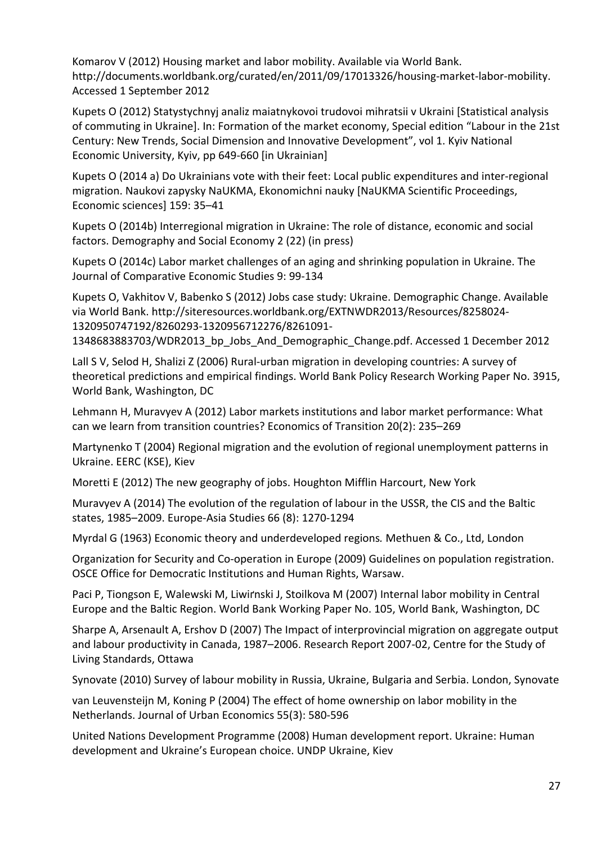Komarov V (2012) Housing market and labor mobility. Available via World Bank. [http://documents.worldbank.org/curated/en/2011/09/17013326/housing-market-labor-mobility.](http://documents.worldbank.org/curated/en/2011/09/17013326/housing-market-labor-mobility.%20Accessed%201%20September%202012)  [Accessed 1 September 2012](http://documents.worldbank.org/curated/en/2011/09/17013326/housing-market-labor-mobility.%20Accessed%201%20September%202012)

Kupets O (2012) Statystychnyj analiz maiatnykovoi trudovoi mihratsii v Ukraini [Statistical analysis of commuting in Ukraine]. In: Formation of the market economy, Special edition "Labour in the 21st Century: New Trends, Social Dimension and Innovative Development", vol 1. Kyiv National Economic University, Kyiv, pp 649-660 [in Ukrainian]

Kupets O (2014 a) Do Ukrainians vote with their feet: Local public expenditures and inter-regional migration. Naukovi zapysky NaUKMA, Ekonomichni nauky [NaUKMA Scientific Proceedings, Economic sciences] 159: 35–41

Kupets O (2014b) Interregional migration in Ukraine: The role of distance, economic and social factors. Demography and Social Economy 2 (22) (in press)

Kupets O (2014c) Labor market challenges of an aging and shrinking population in Ukraine. The Journal of Comparative Economic Studies 9: 99-134

Kupets O, Vakhitov V, Babenko S (2012) Jobs case study: Ukraine. Demographic Change. Available via World Bank. [http://siteresources.worldbank.org/EXTNWDR2013/Resources/8258024-](http://siteresources.worldbank.org/EXTNWDR2013/Resources/8258024-1320950747192/8260293-1320956712276/8261091-1348683883703/WDR2013_bp_Jobs_And_Demographic_Change.pdf) [1320950747192/8260293-1320956712276/8261091-](http://siteresources.worldbank.org/EXTNWDR2013/Resources/8258024-1320950747192/8260293-1320956712276/8261091-1348683883703/WDR2013_bp_Jobs_And_Demographic_Change.pdf)

[1348683883703/WDR2013\\_bp\\_Jobs\\_And\\_Demographic\\_Change.pdf.](http://siteresources.worldbank.org/EXTNWDR2013/Resources/8258024-1320950747192/8260293-1320956712276/8261091-1348683883703/WDR2013_bp_Jobs_And_Demographic_Change.pdf) Accessed 1 December 2012

Lall S V, Selod H, Shalizi Z (2006) Rural-urban migration in developing countries: A survey of theoretical predictions and empirical findings. World Bank Policy Research Working Paper No. 3915, World Bank, Washington, DC

Lehmann H, Muravyev A (2012) Labor markets institutions and labor market performance: What can we learn from transition countries? Economics of Transition 20(2): 235–269

Martynenko T (2004) Regional migration and the evolution of regional unemployment patterns in Ukraine. EERC (KSE), Kiev

Moretti E (2012) The new geography of jobs. Houghton Mifflin Harcourt, New York

Muravyev A (2014) The evolution of the regulation of labour in the USSR, the CIS and the Baltic states, 1985–2009. Europe-Asia Studies 66 (8): 1270-1294

Myrdal G (1963) Economic theory and underdeveloped regions*.* Methuen & Co., Ltd, London

Organization for Security and Co-operation in Europe (2009) Guidelines on population registration. OSCE Office for Democratic Institutions and Human Rights, Warsaw.

Paci P, Tiongson E, Walewski M, Liwiґnski J, Stoilkova M (2007) Internal labor mobility in Central Europe and the Baltic Region. World Bank Working Paper No. 105, World Bank, Washington, DC

Sharpe A, Arsenault A, Ershov D (2007) The Impact of interprovincial migration on aggregate output and labour productivity in Canada, 1987–2006. Research Report 2007-02, Centre for the Study of Living Standards, Ottawa

Synovate (2010) Survey of labour mobility in Russia, Ukraine, Bulgaria and Serbia. London, Synovate

van Leuvensteijn M, Koning P (2004) The effect of home ownership on labor mobility in the Netherlands. Journal of Urban Economics 55(3): 580-596

United Nations Development Programme (2008) Human development report. Ukraine: Human development and Ukraine's European choice. UNDP Ukraine, Kiev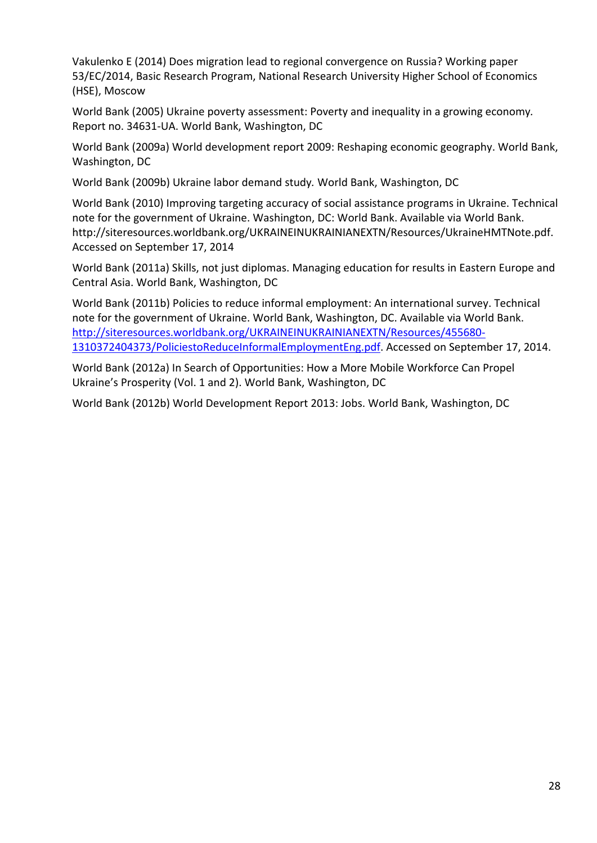Vakulenko E (2014) Does migration lead to regional convergence on Russia? Working paper 53/EC/2014, Basic Research Program, National Research University Higher School of Economics (HSE), Moscow

World Bank (2005) Ukraine poverty assessment: Poverty and inequality in a growing economy*.*  Report no. 34631-UA. World Bank, Washington, DC

World Bank (2009a) World development report 2009: Reshaping economic geography. World Bank, Washington, DC

World Bank (2009b) Ukraine labor demand study*.* World Bank, Washington, DC

World Bank (2010) Improving targeting accuracy of social assistance programs in Ukraine. Technical note for the government of Ukraine. Washington, DC: World Bank. Available via World Bank. [http://siteresources.worldbank.org/UKRAINEINUKRAINIANEXTN/Resources/UkraineHMTNote.pdf.](http://siteresources.worldbank.org/UKRAINEINUKRAINIANEXTN/Resources/UkraineHMTNote.pdf) Accessed on September 17, 2014

World Bank (2011a) Skills, not just diplomas. Managing education for results in Eastern Europe and Central Asia. World Bank, Washington, DC

World Bank (2011b) Policies to reduce informal employment: An international survey. Technical note for the government of Ukraine. World Bank, Washington, DC. Available via World Bank. [http://siteresources.worldbank.org/UKRAINEINUKRAINIANEXTN/Resources/455680-](http://siteresources.worldbank.org/UKRAINEINUKRAINIANEXTN/Resources/455680-1310372404373/PoliciestoReduceInformalEmploymentEng.pdf) [1310372404373/PoliciestoReduceInformalEmploymentEng.pdf.](http://siteresources.worldbank.org/UKRAINEINUKRAINIANEXTN/Resources/455680-1310372404373/PoliciestoReduceInformalEmploymentEng.pdf) Accessed on September 17, 2014.

World Bank (2012a) In Search of Opportunities: How a More Mobile Workforce Can Propel Ukraine's Prosperity (Vol. 1 and 2). World Bank, Washington, DC

World Bank (2012b) World Development Report 2013: Jobs. World Bank, Washington, DC